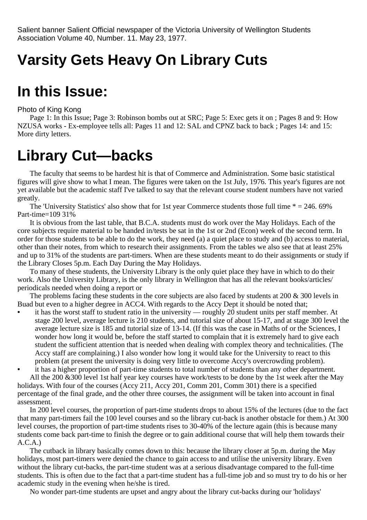Salient banner Salient Official newspaper of the Victoria University of Wellington Students Association Volume 40, Number. 11. May 23, 1977.

# **Varsity Gets Heavy On Library Cuts**

## **In this Issue:**

Photo of King Kong

Page 1: In this Issue; Page 3: Robinson bombs out at SRC; Page 5: Exec gets it on ; Pages 8 and 9: How NZUSA works - Ex-employee tells all: Pages 11 and 12: SAL and CPNZ back to back ; Pages 14: and 15: More dirty letters.

# **Library Cut—backs**

The faculty that seems to be hardest hit is that of Commerce and Administration. Some basic statistical figures will give show to what I mean. The figures were taken on the 1st July, 1976. This year's figures are not yet available but the academic staff I've talked to say that the relevant course student numbers have not varied greatly.

The 'University Statistics' also show that for 1st year Commerce students those full time  $* = 246.69\%$ Part-time=109 31%

It is obvious from the last table, that B.C.A. students must do work over the May Holidays. Each of the core subjects require material to be handed in/tests be sat in the 1st or 2nd (Econ) week of the second term. In order for those students to be able to do the work, they need (a) a quiet place to study and (b) access to material, other than their notes, from which to research their assignments. From the tables we also see that at least 25% and up to 31% of the students are part-timers. When are these students meant to do their assignments or study if the Library Closes 5p.m. Each Day During the May Holidays.

To many of these students, the University Library is the only quiet place they have in which to do their work. Also the University Library, is the only library in Wellington that has all the relevant books/articles/ periodicals needed when doing a report or

The problems facing these students in the core subjects are also faced by students at 200 & 300 levels in Buad but even to a higher degree in ACC4. With regards to the Accy Dept it should be noted that;

**•** it has the worst staff to student ratio in the university — roughly 20 student units per staff member. At stage 200 level, average lecture is 210 students, and tutorial size of about 15-17, and at stage 300 level the average lecture size is 185 and tutorial size of 13-14. (If this was the case in Maths of or the Sciences, I wonder how long it would be, before the staff started to complain that it is extremely hard to give each student the sufficient attention that is needed when dealing with complex theory and technicalities. (The Accy staff are complaining.) I also wonder how long it would take for the University to react to this problem (at present the university is doing very little to overcome Accy's overcrowding problem).

**•** it has a higher proportion of part-time students to total number of students than any other department. All the 200 &300 level 1st half year key courses have work/tests to be done by the 1st week after the May holidays. With four of the courses (Accy 211, Accy 201, Comm 201, Comm 301) there is a specified percentage of the final grade, and the other three courses, the assignment will be taken into account in final assessment.

In 200 level courses, the proportion of part-time students drops to about 15% of the lectures (due to the fact that many part-timers fail the 100 level courses and so the library cut-back is another obstacle for them.) At 300 level courses, the proportion of part-time students rises to 30-40% of the lecture again (this is because many students come back part-time to finish the degree or to gain additional course that will help them towards their  $A.C.A.$ 

The cutback in library basically comes down to this: because the library closer at 5p.m. during the May holidays, most part-timers were denied the chance to gain access to and utilise the university library. Even without the library cut-backs, the part-time student was at a serious disadvantage compared to the full-time students. This is often due to the fact that a part-time student has a full-time job and so must try to do his or her academic study in the evening when he/she is tired.

No wonder part-time students are upset and angry about the library cut-backs during our 'holidays'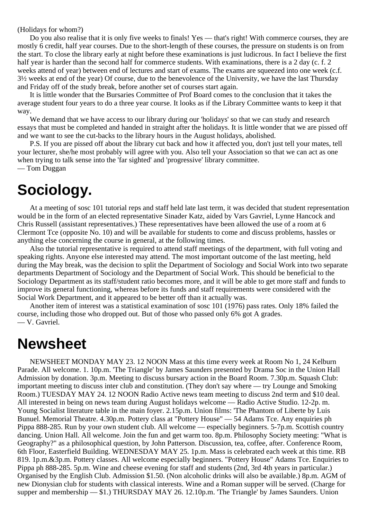(Holidays for whom?)

Do you also realise that it is only five weeks to finals! Yes — that's right! With commerce courses, they are mostly 6 credit, half year courses. Due to the short-length of these courses, the pressure on students is on from the start. To close the library early at night before these examinations is just ludicrous. In fact I believe the first half year is harder than the second half for commerce students. With examinations, there is a 2 day (c. f. 2) weeks attend of year) between end of lectures and start of exams. The exams are squeezed into one week (c.f. 3½ weeks at end of the year) Of course, due to the benevolence of the University, we have the last Thursday and Friday off of the study break, before another set of courses start again.

It is little wonder that the Bursaries Committee of Prof Board comes to the conclusion that it takes the average student four years to do a three year course. It looks as if the Library Committee wants to keep it that way.

We demand that we have access to our library during our 'holidays' so that we can study and research essays that must be completed and handed in straight after the holidays. It is little wonder that we are pissed off and we want to see the cut-backs to the library hours in the August holidays, abolished.

P.S. If you are pissed off about the library cut back and how it affected you, don't just tell your mates, tell your lecturer, she/he most probably will agree with you. Also tell your Association so that we can act as one when trying to talk sense into the 'far sighted' and 'progressive' library committee. — Tom Duggan

# **Sociology.**

At a meeting of sosc 101 tutorial reps and staff held late last term, it was decided that student representation would be in the form of an elected representative Sinader Katz, aided by Vars Gavriel, Lynne Hancock and Chris Russell (assistant representatives.) These representatives have been allowed the use of a room at 6 Clermont Tce (opposite No. 10) and will be available for students to come and discuss problems, hassles or anything else concerning the course in general, at the following times.

Also the tutorial representative is required to attend staff meetings of the department, with full voting and speaking rights. Anyone else interested may attend. The most important outcome of the last meeting, held during the May break, was the decision to split the Department of Sociology and Social Work into two separate departments Department of Sociology and the Department of Social Work. This should be beneficial to the Sociology Department as its staff/student ratio becomes more, and it will be able to get more staff and funds to improve its general functioning, whereas before its funds and staff requirements were considered with the Social Work Department, and it appeared to be better off than it actually was.

Another item of interest was a statistical examination of sosc 101 (1976) pass rates. Only 18% failed the course, including those who dropped out. But of those who passed only 6% got A grades. — V. Gavriel.

## **Newsheet**

NEWSHEET MONDAY MAY 23. 12 NOON Mass at this time every week at Room No 1, 24 Kelburn Parade. All welcome. 1. 10p.m. 'The Triangle' by James Saunders presented by Drama Soc in the Union Hall Admission by donation. 3p.m. Meeting to discuss bursary action in the Board Room. 7.30p.m. Squash Club: important meeting to discuss inter club and constitution. (They don't say where — try Lounge and Smoking Room.) TUESDAY MAY 24. 12 NOON Radio Active news team meeting to discuss 2nd term and \$10 deal. All interested in being on news team during August holidays welcome — Radio Active Studio. 12-2p. m. Young Socialist literature table in the main foyer. 2.15p.m. Union films: 'The Phantom of Liberte by Luis Bunuel. Memorial Theatre. 4.30p.m. Pottery class at "Pottery House" — 54 Adams Tce. Any enquiries ph Pippa 888-285. Run by your own student club. All welcome — especially beginners. 5-7p.m. Scottish country dancing. Union Hall. All welcome. Join the fun and get warm too. 8p.m. Philosophy Society meeting: "What is Geography?" as a philosophical question, by John Patterson. Discussion, tea, coffee, after. Conference Room, 6th Floor, Easterfield Building. WEDNESDAY MAY 25. 1p.m. Mass is celebrated each week at this time. RB 819. 1p.m.&3p.m. Pottery classes. All welcome especially beginners. "Pottery House" Adams Tce. Enquiries to Pippa ph 888-285. 5p.m. Wine and cheese evening for staff and students (2nd, 3rd 4th years in particular.) Organised by the English Club. Admission \$1.50. (Non alcoholic drinks will also be available.) 8p.m. AGM of new Dionysian club for students with classical interests. Wine and a Roman supper will be served. (Charge for supper and membership — \$1.) THURSDAY MAY 26. 12.10p.m. 'The Triangle' by James Saunders. Union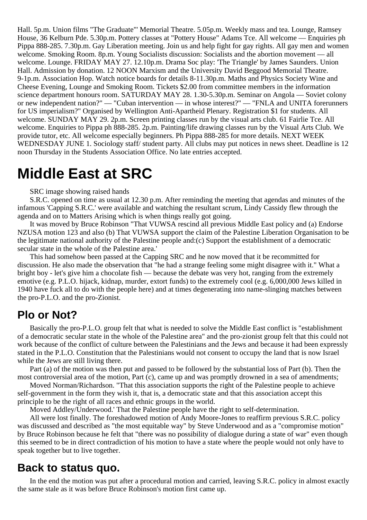Hall. 5p.m. Union films "The Graduate"' Memorial Theatre. 5.05p.m. Weekly mass and tea. Lounge, Ramsey House, 36 Kelburn Pde. 5.30p.m. Pottery classes at "Pottery House" Adams Tce. All welcome — Enquiries ph Pippa 888-285. 7.30p.m. Gay Liberation meeting. Join us and help fight for gay rights. All gay men and women welcome. Smoking Room. 8p.m. Young Socialists discussion: Socialists and the abortion movement — all welcome. Lounge. FRIDAY MAY 27. 12.10p.m. Drama Soc play: 'The Triangle' by James Saunders. Union Hall. Admission by donation. 12 NOON Marxism and the University David Beggood Memorial Theatre. 9-1p.m. Association Hop. Watch notice boards for details 8-11.30p.m. Maths and Physics Society Wine and Cheese Evening, Lounge and Smoking Room. Tickets \$2.00 from committee members in the information science department honours room. SATURDAY MAY 28. 1.30-5.30p.m. Seminar on Angola — Soviet colony or new independent nation?" — "Cuban intervention — in whose interest?" — "FNLA and UNITA forerunners for US imperialism?" Organised by Wellington Anti-Apartheid Plenary. Registration \$1 for students. All welcome. SUNDAY MAY 29. 2p.m. Screen printing classes run by the visual arts club. 61 Fairlie Tce. All welcome. Enquiries to Pippa ph 888-285. 2p.m. Painting/life drawing classes run by the Visual Arts Club. We provide tutor, etc. All welcome especially beginners. Ph Pippa 888-285 for more details. NEXT WEEK WEDNESDAY JUNE 1. Sociology staff/ student party. All clubs may put notices in news sheet. Deadline is 12 noon Thursday in the Students Association Office. No late entries accepted.

## **Middle East at SRC**

#### SRC image showing raised hands

S.R.C. opened on time as usual at 12.30 p.m. After reminding the meeting that agendas and minutes of the infamous 'Capping S.R.C.' were available and watching the resultant scrum, Lindy Cassidy flew through the agenda and on to Matters Arising which is when things really got going.

It was moved by Bruce Robinson "That VUWSA rescind all previous Middle East policy and (a) Endorse NZUSA motion 123 and also (b) That VUWSA support the claim of the Palestine Liberation Organisation to be the legitimate national authority of the Palestine people and:(c) Support the establishment of a democratic secular state in the whole of the Palestine area.'

This had somehow been passed at the Capping SRC and he now moved that it be recommitted for discussion. He also made the observation that "he had a strange feeling some might disagree with it." What a bright boy - let's give him a chocolate fish — because the debate was very hot, ranging from the extremely emotive (e.g. P.L.O. hijack, kidnap, murder, extort funds) to the extremely cool (e.g. 6,000,000 Jews killed in 1940 have fuck all to do with the people here) and at times degenerating into name-slinging matches between the pro-P.L.O. and the pro-Zionist.

### **Plo or Not?**

Basically the pro-P.L.O. group felt that what is needed to solve the Middle East conflict is "establishment of a democratic secular state in the whole of the Palestine area" and the pro-zionist group felt that this could not work because of the conflict of culture between the Palestinians and the Jews and because it had been expressly stated in the P.L.O. Constitution that the Palestinians would not consent to occupy the land that is now Israel while the Jews are still living there.

Part (a) of the motion was then put and passed to be followed by the substantial loss of Part (b). Then the most controversial area of the motion, Part (c), came up and was promptly drowned in a sea of amendments;

Moved Norman/Richardson. "That this association supports the right of the Palestine people to achieve self-government in the form they wish it, that is, a democratic state and that this association accept this principle to be the right of all races and ethnic groups in the world.

Moved Addley/Underwood.' That the Palestine people have the right to self-determination.

All were lost finally. The foreshadowed motion of Andy Moore-Jones to reaffirm previous S.R.C. policy was discussed and described as "the most equitable way" by Steve Underwood and as a "compromise motion" by Bruce Robinson because he felt that "there was no possibility of dialogue during a state of war" even though this seemed to be in direct contradiction of his motion to have a state where the people would not only have to speak together but to live together.

#### **Back to status quo.**

In the end the motion was put after a procedural motion and carried, leaving S.R.C. policy in almost exactly the same stale as it was before Bruce Robinson's motion first came up.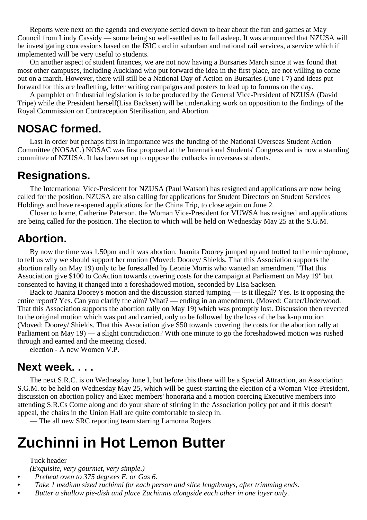Reports were next on the agenda and everyone settled down to hear about the fun and games at May Council from Lindy Cassidy — some being so well-settled as to fall asleep. It was announced that NZUSA will be investigating concessions based on the ISIC card in suburban and national rail services, a service which if implemented will be very useful to students.

On another aspect of student finances, we are not now having a Bursaries March since it was found that most other campuses, including Auckland who put forward the idea in the first place, are not willing to come out on a march. However, there will still be a National Day of Action on Bursaries (June I 7) and ideas put forward for this are leafletting, letter writing campaigns and posters to lead up to forums on the day.

A pamphlet on Industrial legislation is to be produced by the General Vice-President of NZUSA (David Tripe) while the President herself(Lisa Backsen) will be undertaking work on opposition to the findings of the Royal Commission on Contraception Sterilisation, and Abortion.

### **NOSAC formed.**

Last in order but perhaps first in importance was the funding of the National Overseas Student Action Committee (NOSAC.) NOSAC was first proposed at the International Students' Congress and is now a standing committee of NZUSA. It has been set up to oppose the cutbacks in overseas students.

### **Resignations.**

The International Vice-President for NZUSA (Paul Watson) has resigned and applications are now being called for the position. NZUSA are also calling for applications for Student Directors on Student Services Holdings and have re-opened applications for the China Trip, to close again on June 2.

Closer to home, Catherine Paterson, the Woman Vice-President for VUWSA has resigned and applications are being called for the position. The election to which will be held on Wednesday May 25 at the S.G.M.

### **Abortion.**

By now the time was 1.50pm and it was abortion. Juanita Doorey jumped up and trotted to the microphone, to tell us why we should support her motion (Moved: Doorey/ Shields. That this Association supports the abortion rally on May 19) only to be forestalled by Leonie Morris who wanted an amendment "That this Association give \$100 to CoAction towards covering costs for the campaign at Parliament on May 19" but consented to having it changed into a foreshadowed motion, seconded by Lisa Sacksen.

Back to Juanita Doorey's motion and the discussion started jumping — is it illegal? Yes. Is it opposing the entire report? Yes. Can you clarify the aim? What? — ending in an amendment. (Moved: Carter/Underwood. That this Association supports the abortion rally on May 19) which was promptly lost. Discussion then reverted to the original motion which was put and carried, only to be followed by the loss of the back-up motion (Moved: Doorey/ Shields. That this Association give S50 towards covering the costs for the abortion rally at Parliament on May 19) — a slight contradiction? With one minute to go the foreshadowed motion was rushed through and earned and the meeting closed.

election - A new Women V.P.

### **Next week. . . .**

The next S.R.C. is on Wednesday June I, but before this there will be a Special Attraction, an Association S.G.M. to be held on Wednesday May 25, which will be guest-starring the election of a Woman Vice-President, discussion on abortion policy and Exec members' honoraria and a motion coercing Executive members into attending S.R.Cs Come along and do your share of stirring in the Association policy pot and if this doesn't appeal, the chairs in the Union Hall are quite comfortable to sleep in.

— The all new SRC reporting team starring Lamorna Rogers

# **Zuchinni in Hot Lemon Butter**

#### Tuck header

*(Exquisite, very gourmet, very simple.)*

- **•** *Preheat oven to 375 degrees E. or Gas 6*.
- **•** *Take 1 medium sized zuchinni for each person and slice lengthways, after trimming ends*.
- **•** *Butter a shallow pie-dish and place Zuchinnis alongside each other in one layer only*.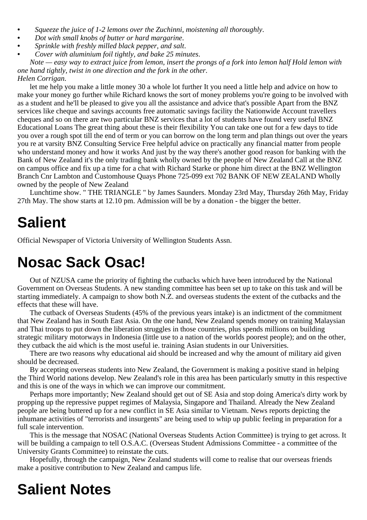- **•** *Squeeze the juice of 1-2 lemons over the Zuchinni, moistening all thoroughly*.
- **•** *Dot with small knobs of butter or hard margarine*.
- **•** *Sprinkle with freshly milled black pepper, and salt*.
- **•** *Cover with aluminium foil tightly, and bake 25 minutes*.

*Note — easy way to extract juice from lemon, insert the prongs of a fork into lemon half Hold lemon with one hand tightly, twist in one direction and the fork in the other*. *Helen Corrigan*.

let me help you make a little money 30 a whole lot further It you need a little help and advice on how to make your money go further while Richard knows the sort of money problems you're going to be involved with as a student and he'll be pleased to give you all the assistance and advice that's possible Apart from the BNZ services like cheque and savings accounts free automatic savings facility the Nationwide Account travellers cheques and so on there are two particular BNZ services that a lot of students have found very useful BNZ Educational Loans The great thing about these is their flexibility You can take one out for a few days to tide you over a rough spot till the end of term or you can borrow on the long term and plan things out over the years you re at varsity BNZ Consulting Service Free helpful advice on practically any financial matter from people who understand money and how it works And just by the way there's another good reason for banking with the Bank of New Zealand it's the only trading bank wholly owned by the people of New Zealand Call at the BNZ on campus office and fix up a time for a chat with Richard Starke or phone him direct at the BNZ Wellington Branch Cnr Lambton and Customhouse Quays Phone 725-099 ext 702 BANK OF NEW ZEALAND Wholly owned by the people of New Zealand

Lunchtime show. " THE TRIANGLE " by James Saunders. Monday 23rd May, Thursday 26th May, Friday 27th May. The show starts at 12.10 pm. Admission will be by a donation - the bigger the better.

# **Salient**

Official Newspaper of Victoria University of Wellington Students Assn.

# **Nosac Sack Osac!**

Out of NZUSA came the priority of fighting the cutbacks which have been introduced by the National Government on Overseas Students. A new standing committee has been set up to take on this task and will be starting immediately. A campaign to show both N.Z. and overseas students the extent of the cutbacks and the effects that these will have.

The cutback of Overseas Students (45% of the previous years intake) is an indictment of the commitment that New Zealand has in South East Asia. On the one hand, New Zealand spends money on training Malaysian and Thai troops to put down the liberation struggles in those countries, plus spends millions on building strategic military motorways in Indonesia (little use to a nation of the worlds poorest people); and on the other, they cutback the aid which is the most useful ie. training Asian students in our Universities.

There are two reasons why educational aid should be increased and why the amount of military aid given should be decreased.

By accepting overseas students into New Zealand, the Government is making a positive stand in helping the Third World nations develop. New Zealand's role in this area has been particularly smutty in this respective and this is one of the ways in which we can improve our commitment.

Perhaps more importantly; New Zealand should get out of SE Asia and stop doing America's dirty work by propping up the repressive puppet regimes of Malaysia, Singapore and Thailand. Already the New Zealand people are being buttered up for a new conflict in SE Asia similar to Vietnam. News reports depicting the inhumane activities of "terrorists and insurgents" are being used to whip up public feeling in preparation for a full scale intervention.

This is the message that NOSAC (National Overseas Students Action Committee) is trying to get across. It will be building a campaign to tell O.S.A.C. (Overseas Student Admissions Committee - a committee of the University Grants Committee) to reinstate the cuts.

Hopefully, through the campaign, New Zealand students will come to realise that our overseas friends make a positive contribution to New Zealand and campus life.

# **Salient Notes**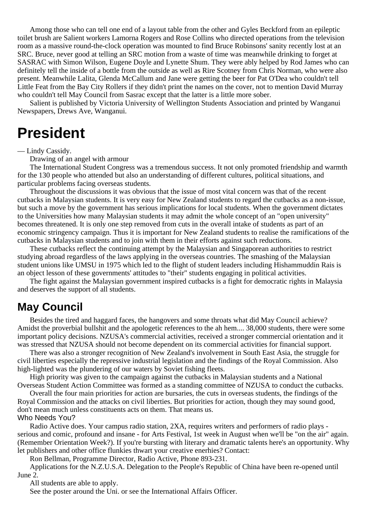Among those who can tell one end of a layout table from the other and Gyles Beckford from an epileptic toilet brush are Salient workers Lamorna Rogers and Rose Collins who directed operations from the television room as a massive round-the-clock operation was mounted to find Bruce Robinsons' sanity recently lost at an SRC. Bruce, never good at telling an SRC motion from a waste of time was meanwhile drinking to forget at SASRAC with Simon Wilson, Eugene Doyle and Lynette Shum. They were ably helped by Rod James who can definitely tell the inside of a bottle from the outside as well as Rire Scotney from Chris Norman, who were also present. Meanwhile Lalita, Glenda McCallum and Jane were getting the beer for Pat O'Dea who couldn't tell Little Feat from the Bay City Rollers if they didn't print the names on the cover, not to mention David Murray who couldn't tell May Council from Sasrac except that the latter is a little more sober.

Salient is published by Victoria University of Wellington Students Association and printed by Wanganui Newspapers, Drews Ave, Wanganui.

## **President**

— Lindy Cassidy.

Drawing of an angel with armour

The International Student Congress was a tremendous success. It not only promoted friendship and warmth for the 130 people who attended but also an understanding of different cultures, political situations, and particular problems facing overseas students.

Throughout the discussions it was obvious that the issue of most vital concern was that of the recent cutbacks in Malaysian students. It is very easy for New Zealand students to regard the cutbacks as a non-issue, but such a move by the government has serious implications for local students. When the government dictates to the Universities how many Malaysian students it may admit the whole concept of an "open university" becomes threatened. It is only one step removed from cuts in the overall intake of students as part of an economic stringency campaign. Thus it is important for New Zealand students to realise the ramifications of the cutbacks in Malaysian students and to join with them in their efforts against such reductions.

These cutbacks reflect the continuing attempt by the Malaysian and Singaporean authorities to restrict studying abroad regardless of the laws applying in the overseas countries. The smashing of the Malaysian student unions like UMSU in 1975 which led to the flight of student leaders including Hishammuddin Rais is an object lesson of these governments' attitudes to "their" students engaging in political activities.

The fight against the Malaysian government inspired cutbacks is a fight for democratic rights in Malaysia and deserves the support of all students.

### **May Council**

Besides the tired and haggard faces, the hangovers and some throats what did May Council achieve? Amidst the proverbial bullshit and the apologetic references to the ah hem.... 38,000 students, there were some important policy decisions. NZUSA's commercial activities, received a stronger commercial orientation and it was stressed that NZUSA should not become dependent on its commercial activities for financial support.

There was also a stronger recognition of New Zealand's involvement in South East Asia, the struggle for civil liberties especially the repressive industrial legislation and the findings of the Royal Commission. Also high-lighted was the plundering of our waters by Soviet fishing fleets.

High priority was given to the campaign against the cutbacks in Malaysian students and a National Overseas Student Action Committee was formed as a standing committee of NZUSA to conduct the cutbacks.

Overall the four main priorities for action are bursaries, the cuts in overseas students, the findings of the Royal Commission and the attacks on civil liberties. But priorities for action, though they may sound good, don't mean much unless constituents acts on them. That means us. Who Needs You?

Radio Active does. Your campus radio station, 2XA, requires writers and performers of radio plays serious and comic, profound and insane - for Arts Festival, 1st week in August when we'll be "on the air" again. (Remember Orientation Week?). If you're bursting with literary and dramatic talents here's an opportunity. Why let publishers and other office flunkies thwart your creative enerhies? Contact:

Ron Bellman, Programme Director, Radio Active, Phone 893-231.

Applications for the N.Z.U.S.A. Delegation to the People's Republic of China have been re-opened until June 2.

All students are able to apply.

See the poster around the Uni. or see the International Affairs Officer.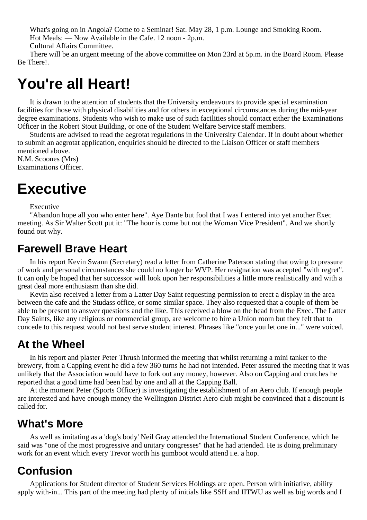What's going on in Angola? Come to a Seminar! Sat. May 28, 1 p.m. Lounge and Smoking Room. Hot Meals: — Now Available in the Cafe. 12 noon - 2p.m.

Cultural Affairs Committee.

There will be an urgent meeting of the above committee on Mon 23rd at 5p.m. in the Board Room. Please Be There!.

# **You're all Heart!**

It is drawn to the attention of students that the University endeavours to provide special examination facilities for those with physical disabilities and for others in exceptional circumstances during the mid-year degree examinations. Students who wish to make use of such facilities should contact either the Examinations Officer in the Robert Stout Building, or one of the Student Welfare Service staff members.

Students are advised to read the aegrotat regulations in the University Calendar. If in doubt about whether to submit an aegrotat application, enquiries should be directed to the Liaison Officer or staff members mentioned above.

N.M. Scoones (Mrs) Examinations Officer.

# **Executive**

Executive

"Abandon hope all you who enter here". Aye Dante but fool that I was I entered into yet another Exec meeting. As Sir Walter Scott put it: "The hour is come but not the Woman Vice President". And we shortly found out why.

### **Farewell Brave Heart**

In his report Kevin Swann (Secretary) read a letter from Catherine Paterson stating that owing to pressure of work and personal circumstances she could no longer be WVP. Her resignation was accepted "with regret". It can only be hoped that her successor will look upon her responsibilities a little more realistically and with a great deal more enthusiasm than she did.

Kevin also received a letter from a Latter Day Saint requesting permission to erect a display in the area between the cafe and the Studass office, or some similar space. They also requested that a couple of them be able to be present to answer questions and the like. This received a blow on the head from the Exec. The Latter Day Saints, like any religious or commercial group, are welcome to hire a Union room but they felt that to concede to this request would not best serve student interest. Phrases like "once you let one in..." were voiced.

### **At the Wheel**

In his report and plaster Peter Thrush informed the meeting that whilst returning a mini tanker to the brewery, from a Capping event he did a few 360 turns he had not intended. Peter assured the meeting that it was unlikely that the Association would have to fork out any money, however. Also on Capping and crutches he reported that a good time had been had by one and all at the Capping Ball.

At the moment Peter (Sports Officer) is investigating the establishment of an Aero club. If enough people are interested and have enough money the Wellington District Aero club might be convinced that a discount is called for.

### **What's More**

As well as imitating as a 'dog's body' Neil Gray attended the International Student Conference, which he said was "one of the most progressive and unitary congresses" that he had attended. He is doing preliminary work for an event which every Trevor worth his gumboot would attend i.e. a hop.

### **Confusion**

Applications for Student director of Student Services Holdings are open. Person with initiative, ability apply with-in... This part of the meeting had plenty of initials like SSH and IITWU as well as big words and I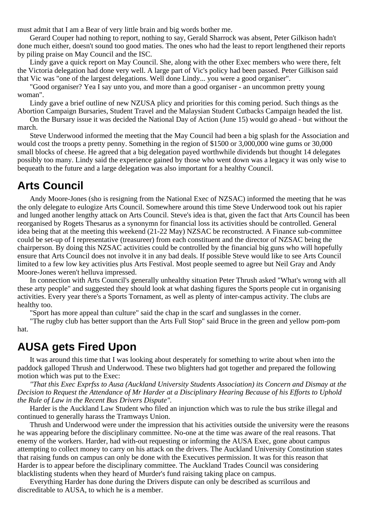must admit that I am a Bear of very little brain and big words bother me.

Gerard Couper had nothing to report, nothing to say, Gerald Sharrock was absent, Peter Gilkison hadn't done much either, doesn't sound too good maties. The ones who had the least to report lengthened their reports by piling praise on May Council and the ISC.

Lindy gave a quick report on May Council. She, along with the other Exec members who were there, felt the Victoria delegation had done very well. A large part of Vic's policy had been passed. Peter Gilkison said that Vic was "one of the largest delegations. Well done Lindy... you were a good organiser".

"Good organiser? Yea I say unto you, and more than a good organiser - an uncommon pretty young woman".

Lindy gave a brief outline of new NZUSA plicy and priorities for this coming period. Such things as the Abortion Campaign Bursaries, Student Travel and the Malaysian Student Cutbacks Campaign headed the list.

On the Bursary issue it was decided the National Day of Action (June 15) would go ahead - but without the march.

Steve Underwood informed the meeting that the May Council had been a big splash for the Association and would cost the troops a pretty penny. Something in the region of \$1500 or 3,000,000 wine gums or 30,000 small blocks of cheese. He agreed that a big delegation payed worthwhile dividends but thought 14 delegates possibly too many. Lindy said the experience gained by those who went down was a legacy it was only wise to bequeath to the future and a large delegation was also important for a healthy Council.

### **Arts Council**

Andy Moore-Jones (sho is resigning from the National Exec of NZSAC) informed the meeting that he was the only delegate to eulogize Arts Council. Somewhere around this time Steve Underwood took out his rapier and lunged another lengthy attack on Arts Council. Steve's idea is that, given the fact that Arts Council has been reorganised by Rogets Thesarus as a synonymn for financial loss its activities should be controlled. General idea being that at the meeting this weekend (21-22 May) NZSAC be reconstructed. A Finance sub-committee could be set-up of I representative (treasureer) from each constituent and the director of NZSAC being the chairperson. By doing this NZSAC activities could be controlled by the financial big guns who will hopefully ensure that Arts Council does not involve it in any bad deals. If possible Steve would like to see Arts Council limited to a few low key activities plus Arts Festival. Most people seemed to agree but Neil Gray and Andy Moore-Jones weren't helluva impressed.

In connection with Arts Council's generally unhealthy situation Peter Thrush asked "What's wrong with all these arty people" and suggested they should look at what dashing figures the Sports people cut in organising activities. Every year there's a Sports Tornament, as well as plenty of inter-campus activity. The clubs are healthy too.

"Sport has more appeal than culture" said the chap in the scarf and sunglasses in the corner.

"The rugby club has better support than the Arts Full Stop" said Bruce in the green and yellow pom-pom hat.

### **AUSA gets Fired Upon**

It was around this time that I was looking about desperately for something to write about when into the paddock galloped Thrush and Underwood. These two blighters had got together and prepared the following motion which was put to the Exec:

*"That this Exec Exprfss to Ausa (Auckland University Students Association) its Concern and Dismay at the Decision to Request the Attendance of Mr Harder at a Disciplinary Hearing Because of his Efforts to Uphold the Rule of Law in the Recent Bus Drivers Dispute".*

Harder is the Auckland Law Student who filed an injunction which was to rule the bus strike illegal and continued to generally harass the Tramways Union.

Thrush and Underwood were under the impression that his activities outside the university were the reasons he was appearing before the disciplinary committee. No-one at the time was aware of the real reasons. That enemy of the workers. Harder, had with-out requesting or informing the AUSA Exec, gone about campus attempting to collect money to carry on his attack on the drivers. The Auckland University Constitution states that raising funds on campus can only be done with the Executives permission. It was for this reason that Harder is to appear before the disciplinary committee. The Auckland Trades Council was considering blacklisting students when they heard of Murder's fund raising taking place on campus.

Everything Harder has done during the Drivers dispute can only be described as scurrilous and discreditable to AUSA, to which he is a member.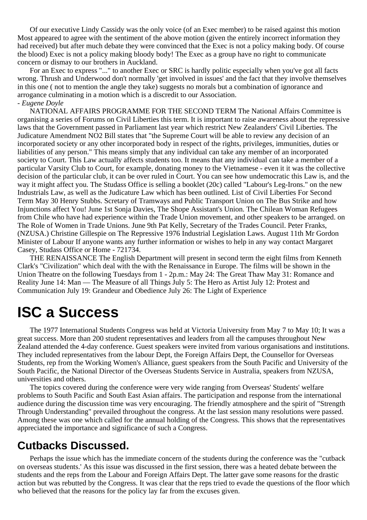Of our executive Lindy Cassidy was the only voice (of an Exec member) to be raised against this motion Most appeared to agree with the sentiment of the above motion (given the entirely incorrect information they had received) but after much debate they were convinced that the Exec is not a policy making body. Of course the blood) Exec is not a policy making bloody body! The Exec as a group have no right to communicate concern or dismay to our brothers in Auckland.

For an Exec to express "..." to another Exec or SRC is hardly politic especially when you've got all facts wrong. Thrush and Underwood don't normally 'get involved in issues' and the fact that they involve themselves in this one ( not to mention the angle they take) suggests no morals but a combination of ignorance and arrogance culminating in a motion which is a discredit to our Association. *- Eugene Doyle*

NATIONAL AFFAIRS PROGRAMME FOR THE SECOND TERM The National Affairs Committee is organising a series of Forums on Civil Liberties this term. It is important to raise awareness about the repressive laws that the Government passed in Parliament last year which restrict New Zealanders' Civil Liberties. The Judicature Amendment NO2 Bill states that "the Supreme Court will be able to review any decision of an incorporated society or any other incorporated body in respect of the rights, privileges, immunities, duties or liabilities of any person." This means simply that any individual can take any member of an incorporated society to Court. This Law actually affects students too. It means that any individual can take a member of a particular Varsity Club to Court, for example, donating money to the Vietnamese - even it it was the collective decision of the particular club, it can be over ruled in Court. You can see how undemocratic this Law is, and the way it might affect you. The Studass Office is selling a booklet (20c) called "Labour's Leg-Irons." on the new Industrials Law, as well as the Judicature Law which has been outlined. List of Civil Liberties For Second Term May 30 Henry Stubbs. Scretary of Tramways and Public Transport Union on The Bus Strike and how Injunctions affect You! June 1st Sonja Davies, The Shope Assistant's Union. The Chilean Woman Refugees from Chile who have had experience within the Trade Union movement, and other speakers to be arranged. on The Role of Women in Trade Unions. June 9th Pat Kelly, Secretary of the Trades Council. Peter Franks, (NZUSA.) Christine Gillespie on The Repressive 1976 Industrial Legislation Laws. August 11th Mr Gordon Minister of Labour If anyone wants any further information or wishes to help in any way contact Margaret Casey, Studass Office or Home - 721734.

THE RENAISSANCE The English Department will present in second term the eight films from Kenneth Clark's "Civilization" which deal with the with the Renaissance in Europe. The films will be shown in the Union Theatre on the following Tuesdays from 1 - 2p.m.: May 24: The Great Thaw May 31: Romance and Reality June 14: Man — The Measure of all Things July 5: The Hero as Artist July 12: Protest and Communication July 19: Grandeur and Obedience July 26: The Light of Experience

# **ISC a Success**

The 1977 International Students Congress was held at Victoria University from May 7 to May 10; It was a great success. More than 200 student representatives and leaders from all the campuses throughout New Zealand attended the 4-day conference. Guest speakers were invited from various organisations and institutions. They included representatives from the labour Dept, the Foreign Affairs Dept, the Counsellor for Overseas Students, rep from the Working Women's Alliance, guest speakers from the South Pacific and University of the South Pacific, the National Director of the Overseas Students Service in Australia, speakers from NZUSA, universities and others.

The topics covered during the conference were very wide ranging from Overseas' Students' welfare problems to South Pacific and South East Asian affairs. The participation and response from the international audience during the discussion time was very encouraging. The friendly atmosphere and the spirit of "Strength Through Understanding" prevailed throughout the congress. At the last session many resolutions were passed. Among these was one which called for the annual holding of the Congress. This shows that the representatives appreciated the importance and significance of such a Congress.

### **Cutbacks Discussed.**

Perhaps the issue which has the immediate concern of the students during the conference was the "cutback on overseas students.' As this issue was discussed in the first session, there was a heated debate between the students and the reps from the Labour and Foreign Affairs Dept. The latter gave some reasons for the drastic action but was rebutted by the Congress. It was clear that the reps tried to evade the questions of the floor which who believed that the reasons for the policy lay far from the excuses given.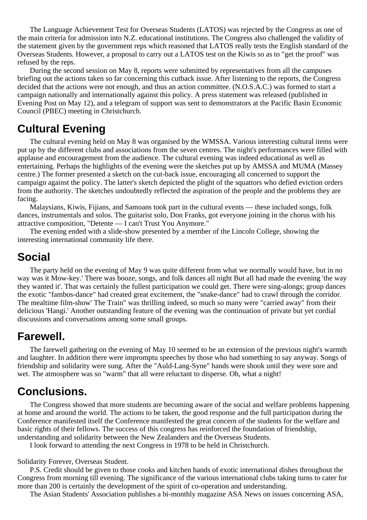The Language Achievement Test for Overseas Students (LATOS) was rejected by the Congress as one of the main criteria for admission into N.Z. educational institutions. The Congress also challenged the validity of the statement given by the government reps which reasoned that LATOS really tests the English standard of the Overseas Students. However, a proposal to carry out a LATOS test on the Kiwis so as to "get the proof" was refused by the reps.

During the second session on May 8, reports were submitted by representatives from all the campuses briefing out the actions taken so far concerning this cutback issue. After listening to the reports, the Congress decided that the actions were not enough, and thus an action committee. (N.O.S.A.C.) was formed to start a campaign nationally and internationally against this policy. A press statement was released (published in Evening Post on May 12), and a telegram of support was sent to demonstrators at the Pacific Basin Economic Council (PBEC) meeting in Christchurch.

### **Cultural Evening**

The cultural evening held on May 8 was organised by the WMSSA. Various interesting cultural items were put up by the different clubs and associations from the seven centres. The night's performances were filled with applause and encouragement from the audience. The cultural evening was indeed educational as well as entertaining. Perhaps the highlights of the evening were the sketches put up by AMSSA and MUMA (Massey centre.) The former presented a sketch on the cut-back issue, encouraging all concerned to support the campaign against the policy. The latter's sketch depicted the plight of the squattors who defied eviction orders from the authority. The sketches undoubtedly reflected the aspiration of the people and the problems they are facing.

Malaysians, Kiwis, Fijians, and Samoans took part in the cultural events — these included songs, folk dances, instrumentals and solos. The guitarist solo, Don Franks, got everyone joining in the chorus with his attractive composition, "Detente — I can't Trust You Anymore."

The evening ended with a slide-show presented by a member of the Lincoln College, showing the interesting international community life there.

### **Social**

The party held on the evening of May 9 was quite different from what we normally would have, but in no way was it Mow-key.' There was booze, songs, and folk dances all night But all had made the evening 'the way they wanted it'. That was certainly the fullest participation we could get. There were sing-alongs; group dances the exotic "fambos-dance" had created great excitement, the "snake-dance" had to crawl through the corridor. The mealtime film-show' The Train" was thrilling indeed, so much so many were "carried away" from their delicious 'Hangi.' Another outstanding feature of the evening was the continuation of private but yet cordial discussions and conversations among some small groups.

### **Farewell.**

The farewell gathering on the evening of May 10 seemed to be an extension of the previous night's warmth and laughter. In addition there were impromptu speeches by those who had something to say anyway. Songs of friendship and solidarity were sung. After the "Auld-Lang-Syne" hands were shook until they were sore and wet. The atmosphere was so "warm" that all were reluctant to disperse. Oh, what a night!

### **Conclusions.**

The Congress showed that more students are becoming aware of the social and welfare problems happening at home and around the world. The actions to be taken, the good response and the full participation during the Conference manifested itself the Conference manifested the great concern of the students for the welfare and basic rights of their fellows. The success of this congress has reinforced the foundation of friendship, understanding and solidarity between the New Zealanders and the Overseas Students.

I look forward to attending the next Congress in 1978 to be held in Christchurch.

Solidarity Forever, Overseas Student.

P.S. Credit should be given to those cooks and kitchen hands of exotic international dishes throughout the Congress from morning till evening. The significance of the various international clubs taking turns to cater for more than 200 is certainly the development of the spirit of co-operation and understanding.

The Asian Students' Association publishes a bi-monthly magazine ASA News on issues concerning ASA,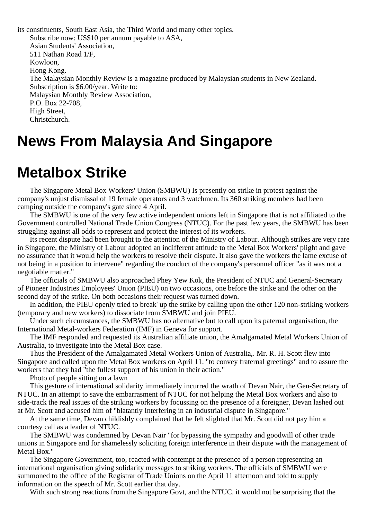its constituents, South East Asia, the Third World and many other topics. Subscribe now: US\$10 per annum payable to ASA, Asian Students' Association, 511 Nathan Road 1/F, Kowloon, Hong Kong. The Malaysian Monthly Review is a magazine produced by Malaysian students in New Zealand. Subscription is \$6.00/year. Write to: Malaysian Monthly Review Association, P.O. Box 22-708, High Street, Christchurch.

# **News From Malaysia And Singapore**

# **Metalbox Strike**

The Singapore Metal Box Workers' Union (SMBWU) Is presently on strike in protest against the company's unjust dismissal of 19 female operators and 3 watchmen. Its 360 striking members had been camping outside the company's gate since 4 April.

The SMBWU is one of the very few active independent unions left in Singapore that is not affiliated to the Government controlled National Trade Union Congress (NTUC). For the past few years, the SMBWU has been struggling against all odds to represent and protect the interest of its workers.

Its recent dispute had been brought to the attention of the Ministry of Labour. Although strikes are very rare in Singapore, the Ministry of Labour adopted an indifferent attitude to the Metal Box Workers' plight and gave no assurance that it would help the workers to resolve their dispute. It also gave the workers the lame excuse of not being in a position to intervene" regarding the conduct of the company's personnel officer "as it was not a negotiable matter."

The officials of SMBWU also approached Phey Yew Kok, the President of NTUC and General-Secretary of Pioneer Industries Employees' Union (PIEU) on two occasions, one before the strike and the other on the second day of the strike. On both occasions their request was turned down.

In addition, the PIEU openly tried to break' up the strike by calling upon the other 120 non-striking workers (temporary and new workers) to dissociate from SMBWU and join PIEU.

Under such circumstances, the SMBWU has no alternative but to call upon its paternal organisation, the International Metal-workers Federation (IMF) in Geneva for support.

The IMF responded and requested its Australian affiliate union, the Amalgamated Metal Workers Union of Australia, to investigate into the Metal Box case.

Thus the President of the Amalgamated Metal Workers Union of Australia,. Mr. R. H. Scott flew into Singapore and called upon the Metal Box workers on April 11. "to convey fraternal greetings" and to assure the workers that they had "the fullest support of his union in their action."

Photo of people sitting on a lawn

This gesture of international solidarity immediately incurred the wrath of Devan Nair, the Gen-Secretary of NTUC. In an attempt to save the embarrasment of NTUC for not helping the Metal Box workers and also to side-track the real issues of the striking workers by focussing on the presence of a foreigner, Devan lashed out at Mr. Scott and accused him of "blatantly Interfering in an industrial dispute in Singapore."

At the same time, Devan childishly complained that he felt slighted that Mr. Scott did not pay him a courtesy call as a leader of NTUC.

The SMBWU was condemned by Devan Nair "for bypassing the sympathy and goodwill of other trade unions in Singapore and for shamelessly soliciting foreign interference in their dispute with the management of Metal Box."

The Singapore Government, too, reacted with contempt at the presence of a person representing an international organisation giving solidarity messages to striking workers. The officials of SMBWU were summoned to the office of the Registrar of Trade Unions on the April 11 afternoon and told to supply information on the speech of Mr. Scott earlier that day.

With such strong reactions from the Singapore Govt, and the NTUC. it would not be surprising that the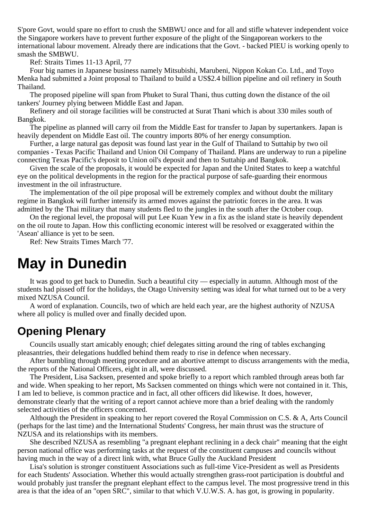S'pore Govt, would spare no effort to crush the SMBWU once and for all and stifle whatever independent voice the Singapore workers have to prevent further exposure of the plight of the Singaporean workers to the international labour movement. Already there are indications that the Govt. - backed PIEU is working openly to smash the SMBWU.

Ref: Straits Times 11-13 April, 77

Four big names in Japanese business namely Mitsubishi, Marubeni, Nippon Kokan Co. Ltd., and Toyo Menka had submitted a Joint proposal to Thailand to build a US\$2.4 billion pipeline and oil refinery in South Thailand.

The proposed pipeline will span from Phuket to Sural Thani, thus cutting down the distance of the oil tankers' Journey plying between Middle East and Japan.

Refinery and oil storage facilities will be constructed at Surat Thani which is about 330 miles south of Bangkok.

The pipeline as planned will carry oil from the Middle East for transfer to Japan by supertankers. Japan is heavily dependent on Middle East oil. The country imports 80% of her energy consumption.

Further, a large natural gas deposit was found last year in the Gulf of Thailand to Suttahip by two oil companies - Texas Pacific Thailand and Union Oil Company of Thailand. Plans are underway to run a pipeline connecting Texas Pacific's deposit to Union oil's deposit and then to Suttahip and Bangkok.

Given the scale of the proposals, it would be expected for Japan and the United States to keep a watchful eye on the political developments in the region for the practical purpose of safe-guarding their enormous investment in the oil infrastructure.

The implementation of the oil pipe proposal will be extremely complex and without doubt the military regime in Bangkok will further intensify its armed moves against the patriotic forces in the area. It was admitted by the Thai military that many students fled to the jungles in the south after the October coup.

On the regional level, the proposal will put Lee Kuan Yew in a fix as the island state is heavily dependent on the oil route to Japan. How this conflicting economic interest will be resolved or exaggerated within the 'Asean' alliance is yet to be seen.

Ref: New Straits Times March '77.

## **May in Dunedin**

It was good to get back to Dunedin. Such a beautiful city — especially in autumn. Although most of the students had pissed off for the holidays, the Otago University setting was ideal for what turned out to be a very mixed NZUSA Council.

A word of explanation. Councils, two of which are held each year, are the highest authority of NZUSA where all policy is mulled over and finally decided upon.

### **Opening Plenary**

Councils usually start amicably enough; chief delegates sitting around the ring of tables exchanging pleasantries, their delegations huddled behind them ready to rise in defence when necessary.

After bumbling through meeting procedure and an abortive attempt to discuss arrangements with the media, the reports of the National Officers, eight in all, were discussed.

The President, Lisa Sacksen, presented and spoke briefly to a report which rambled through areas both far and wide. When speaking to her report, Ms Sacksen commented on things which were not contained in it. This, I am led to believe, is common practice and in fact, all other officers did likewise. It does, however, demonstrate clearly that the writing of a report cannot achieve more than a brief dealing with the randomly selected activities of the officers concerned.

Although the President in speaking to her report covered the Royal Commission on C.S. & A, Arts Council (perhaps for the last time) and the International Students' Congress, her main thrust was the structure of NZUSA and its relationships with its members.

She described NZUSA as resembling "a pregnant elephant reclining in a deck chair" meaning that the eight person national office was performing tasks at the request of the constituent campuses and councils without having much in the way of a direct link with, what Bruce Gully the Auckland President

Lisa's solution is stronger constituent Associations such as full-time Vice-President as well as Presidents for each Students' Association. Whether this would actually strengthen grass-root participation is doubtful and would probably just transfer the pregnant elephant effect to the campus level. The most progressive trend in this area is that the idea of an "open SRC", similar to that which V.U.W.S. A. has got, is growing in popularity.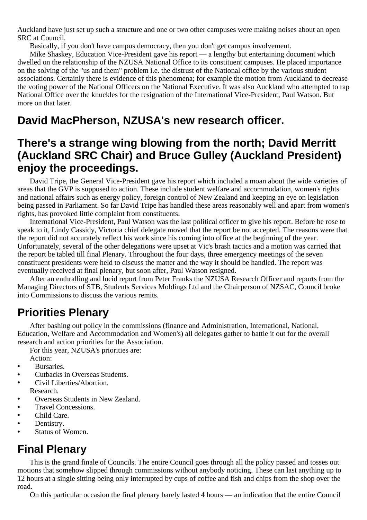Auckland have just set up such a structure and one or two other campuses were making noises about an open SRC at Council.

Basically, if you don't have campus democracy, then you don't get campus involvement.

Mike Shaskey, Education Vice-President gave his report — a lengthy but entertaining document which dwelled on the relationship of the NZUSA National Office to its constituent campuses. He placed importance on the solving of the "us and them" problem i.e. the distrust of the National office by the various student associations. Certainly there is evidence of this phenomena; for example the motion from Auckland to decrease the voting power of the National Officers on the National Executive. It was also Auckland who attempted to rap National Office over the knuckles for the resignation of the International Vice-President, Paul Watson. But more on that later.

### **David MacPherson, NZUSA's new research officer.**

### **There's a strange wing blowing from the north; David Merritt (Auckland SRC Chair) and Bruce Gulley (Auckland President) enjoy the proceedings.**

David Tripe, the General Vice-President gave his report which included a moan about the wide varieties of areas that the GVP is supposed to action. These include student welfare and accommodation, women's rights and national affairs such as energy policy, foreign control of New Zealand and keeping an eye on legislation being passed in Parliament. So far David Tripe has handled these areas reasonably well and apart from women's rights, has provoked little complaint from constituents.

International Vice-President, Paul Watson was the last political officer to give his report. Before he rose to speak to it, Lindy Cassidy, Victoria chief delegate moved that the report be not accepted. The reasons were that the report did not accurately reflect his work since his coming into office at the beginning of the year. Unfortunately, several of the other delegations were upset at Vic's brash tactics and a motion was carried that the report be tabled till final Plenary. Throughout the four days, three emergency meetings of the seven constituent presidents were held to discuss the matter and the way it should be handled. The report was eventually received at final plenary, but soon after, Paul Watson resigned.

After an enthralling and lucid report from Peter Franks the NZUSA Research Officer and reports from the Managing Directors of STB, Students Services Moldings Ltd and the Chairperson of NZSAC, Council broke into Commissions to discuss the various remits.

### **Priorities Plenary**

After bashing out policy in the commissions (finance and Administration, International, National, Education, Welfare and Accommodation and Women's) all delegates gather to battle it out for the overall research and action priorities for the Association.

For this year, NZUSA's priorities are: Action:

- **•** Bursaries.
- **•** Cutbacks in Overseas Students.
- **•** Civil Liberties/Abortion. Research.
- **•** Overseas Students in New Zealand.
- **•** Travel Concessions.
- **•** Child Care.
- **•** Dentistry.
- **•** Status of Women.

### **Final Plenary**

This is the grand finale of Councils. The entire Council goes through all the policy passed and tosses out motions that somehow slipped through commissions without anybody noticing. These can last anything up to 12 hours at a single sitting being only interrupted by cups of coffee and fish and chips from the shop over the road.

On this particular occasion the final plenary barely lasted 4 hours — an indication that the entire Council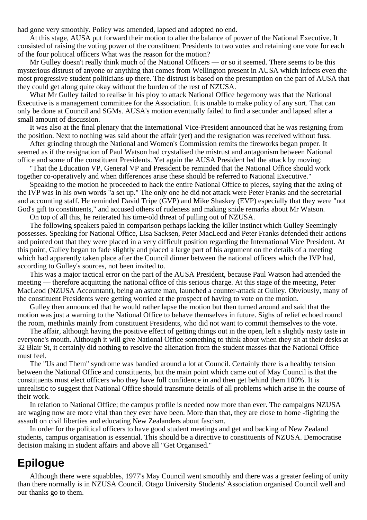had gone very smoothly. Policy was amended, lapsed and adopted no end.

At this stage, AUSA put forward their motion to alter the balance of power of the National Executive. It consisted of raising the voting power of the constituent Presidents to two votes and retaining one vote for each of the four political officers What was the reason for the motion?

Mr Gulley doesn't really think much of the National Officers — or so it seemed. There seems to be this mysterious distrust of anyone or anything that comes from Wellington present in AUSA which infects even the most progressive student politicians up there. The distrust is based on the presumption on the part of AUSA that they could get along quite okay without the burden of the rest of NZUSA.

What Mr Gulley failed to realise in his ploy to attack National Office hegemony was that the National Executive is a management committee for the Association. It is unable to make policy of any sort. That can only be done at Council and SGMs. AUSA's motion eventually failed to find a seconder and lapsed after a small amount of discussion.

It was also at the final plenary that the International Vice-President announced that he was resigning from the position. Next to nothing was said about the affair (yet) and the resignation was received without fuss.

After grinding through the National and Women's Commission remits the fireworks began proper. It seemed as if the resignation of Paul Watson had crystalised the mistrust and antagonism between National office and some of the constituent Presidents. Yet again the AUSA President led the attack by moving:

"That the Education VP, General VP and President be reminded that the National Office should work together co-operatively and when differences arise these should be referred to National Executive."

Speaking to the motion he proceeded to hack the entire National Office to pieces, saying that the axing of the IVP was in his own words "a set up." The only one he did not attack were Peter Franks and the secretarial and accounting staff. He reminded David Tripe (GVP) and Mike Shaskey (EVP) especially that they were "not God's gift to constituents," and accused others of rudeness and making snide remarks about Mr Watson.

On top of all this, he reiterated his time-old threat of pulling out of NZUSA.

The following speakers paled in comparison perhaps lacking the killer instinct which Gulley Seemingly possesses. Speaking for National Office, Lisa Sacksen, Peter MacLeod and Peter Franks defended their actions and pointed out that they were placed in a very difficult position regarding the International Vice President. At this point, Gulley began to fade slightly and placed a large part of his argument on the details of a meeting which had apparently taken place after the Council dinner between the national officers which the IVP had, according to Gulley's sources, not been invited to.

This was a major tactical error on the part of the AUSA President, because Paul Watson had attended the meeting — therefore acquitting the national office of this serious charge. At this stage of the meeting, Peter MacLeod (NZUSA Accountant), being an astute man, launched a counter-attack at Gulley. Obviously, many of the constituent Presidents were getting worried at the prospect of having to vote on the motion.

Gulley then announced that he would rather lapse the motion but then turned around and said that the motion was just a warning to the National Office to behave themselves in future. Sighs of relief echoed round the room, methinks mainly from constituent Presidents, who did not want to commit themselves to the vote.

The affair, although having the positive effect of getting things out in the open, left a slightly nasty taste in everyone's mouth. Although it will give National Office something to think about when they sit at their desks at 32 Blair St, it certainly did nothing to resolve the alienation from the student masses that the National Office must feel.

The "Us and Them" syndrome was bandied around a lot at Council. Certainly there is a healthy tension between the National Office and constituents, but the main point which came out of May Council is that the constituents must elect officers who they have full confidence in and then get behind them 100%. It is unrealistic to suggest that National Office should transmute details of all problems which arise in the course of their work.

In relation to National Office; the campus profile is needed now more than ever. The campaigns NZUSA are waging now are more vital than they ever have been. More than that, they are close to home -fighting the assault on civil liberties and educating New Zealanders about fascism.

In order for the political officers to have good student meetings and get and backing of New Zealand students, campus organisation is essential. This should be a directive to constituents of NZUSA. Democratise decision making in student affairs and above all "Get Organised."

### **Epilogue**

Although there were squabbles, 1977's May Council went smoothly and there was a greater feeling of unity than there normally is in NZUSA Council. Otago University Students' Association organised Council well and our thanks go to them.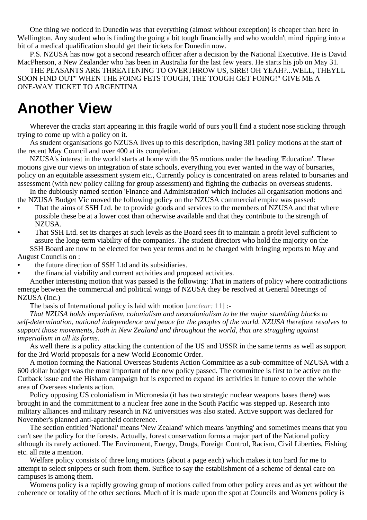One thing we noticed in Dunedin was that everything (almost without exception) is cheaper than here in Wellington. Any student who is finding the going a bit tough financially and who wouldn't mind ripping into a bit of a medical qualification should get their tickets for Dunedin now.

P.S. NZUSA has now got a second research officer after a decision by the National Executive. He is David MacPherson, a New Zealander who has been in Australia for the last few years. He starts his job on May 31.

THE PEASANTS ARE THREATENING TO OVERTHROW US, SIRE! OH YEAH?...WELL, THEYLL SOON FIND OUT" WHEN THE FOING FETS TOUGH, THE TOUGH GET FOING!" GIVE ME A ONE-WAY TICKET TO ARGENTINA

# **Another View**

Wherever the cracks start appearing in this fragile world of ours you'll find a student nose sticking through trying to come up with a policy on it.

As student organisations go NZUSA lives up to this description, having 381 policy motions at the start of the recent May Council and over 400 at its completion.

NZUSA's interest in the world starts at home with the 95 motions under the heading 'Education'. These motions give our views on integration of state schools, everything you ever wanted in the way of bursaries, policy on an equitable assessment system etc., Currently policy is concentrated on areas related to bursaries and assessment (with new policy calling for group assessment) and fighting the cutbacks on overseas students.

In the dubiously named section 'Finance and Administration' which includes all organisation motions and the NZUSA Budget Vic moved the following policy on the NZUSA commercial empire was passed:

- **•** That the aims of SSH Ltd. be to provide goods and services to the members of NZUSA and that where possible these be at a lower cost than otherwise available and that they contribute to the strength of NZUSA.
- That SSH Ltd. set its charges at such levels as the Board sees fit to maintain a profit level sufficient to assure the long-term viability of the companies. The student directors who hold the majority on the

SSH Board are now to be elected for two year terms and to be charged with bringing reports to May and August Councils on :

- **•** the future direction of SSH Ltd and its subsidiaries.
- the financial viability and current activities and proposed activities.

Another interesting motion that was passed is the following: That in matters of policy where contradictions emerge between the commercial and political wings of NZUSA they be resolved at General Meetings of NZUSA (Inc.)

The basis of International policy is laid with motion [*unclear:* 11] :-

*That NZUSA holds imperialism, colonialism and neocolonialism to be the major stumbling blocks to self-determination, national independence and peace for the peoples of the world. NZUSA therefore resolves to support those movements, both in New Zealand and throughout the world, that are struggling against imperialism in all its forms.*

As well there is a policy attacking the contention of the US and USSR in the same terms as well as support for the 3rd World proposals for a new World Economic Order.

A motion forming the National Overseas Students Action Committee as a sub-committee of NZUSA with a 600 dollar budget was the most important of the new policy passed. The committee is first to be active on the Cutback issue and the Hisham campaign but is expected to expand its activities in future to cover the whole area of Overseas students action.

Policy opposing US colonialism in Micronesia (it has two strategic nuclear weapons bases there) was brought in and the committment to a nuclear free zone in the South Pacific was stepped up. Research into military alliances and military research in NZ universities was also stated. Active support was declared for November's planned anti-apartheid conference.

The section entitled 'National' means 'New Zealand' which means 'anything' and sometimes means that you can't see the policy for the forests. Actually, forest conservation forms a major part of the National policy although its rarely actioned. The Enviroment, Energy, Drugs, Foreign Control, Racism, Civil Liberties, Fishing etc. all rate a mention.

Welfare policy consists of three long motions (about a page each) which makes it too hard for me to attempt to select snippets or such from them. Suffice to say the establishment of a scheme of dental care on campuses is among them.

Womens policy is a rapidly growing group of motions called from other policy areas and as yet without the coherence or totality of the other sections. Much of it is made upon the spot at Councils and Womens policy is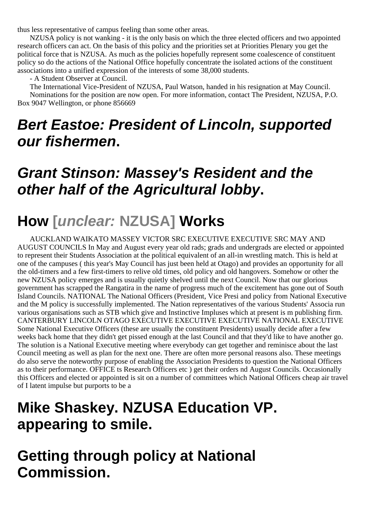thus less representative of campus feeling than some other areas.

NZUSA policy is not wanking - it is the only basis on which the three elected officers and two appointed research officers can act. On the basis of this policy and the priorities set at Priorities Plenary you get the political force that is NZUSA. As much as the policies hopefully represent some coalescence of constituent policy so do the actions of the National Office hopefully concentrate the isolated actions of the constituent associations into a unified expression of the interests of some 38,000 students.

- A Student Observer at Council.

The International Vice-President of NZUSA, Paul Watson, handed in his resignation at May Council. Nominations for the position are now open. For more information, contact The President, NZUSA, P.O. Box 9047 Wellington, or phone 856669

# **Bert Eastoe: President of Lincoln, supported our fishermen.**

# **Grant Stinson: Massey's Resident and the other half of the Agricultural lobby.**

# **How [unclear: NZUSA] Works**

AUCKLAND WAIKATO MASSEY VICTOR SRC EXECUTIVE EXECUTIVE SRC MAY AND AUGUST COUNCILS In May and August every year old rads; grads and undergrads are elected or appointed to represent their Students Association at the political equivalent of an all-in wrestling match. This is held at one of the campuses ( this year's May Council has just been held at Otago) and provides an opportunity for all the old-timers and a few first-timers to relive old times, old policy and old hangovers. Somehow or other the new NZUSA policy emerges and is usually quietly shelved until the next Council. Now that our glorious government has scrapped the Rangatira in the name of progress much of the excitement has gone out of South Island Councils. NATIONAL The National Officers (President, Vice Presi and policy from National Executive and the M policy is successfully implemented. The Nation representatives of the various Students' Associa run various organisations such as STB which give and Instinctive Impluses which at present is m publishing firm. CANTERBURY LINCOLN OTAGO EXECUTIVE EXECUTIVE EXECUTIVE NATIONAL EXECUTIVE Some National Executive Officers (these are usually the constituent Presidents) usually decide after a few weeks back home that they didn't get pissed enough at the last Council and that they'd like to have another go. The solution is a National Executive meeting where everybody can get together and reminisce about the last Council meeting as well as plan for the next one. There are often more personal reasons also. These meetings do also serve the noteworthy purpose of enabling the Association Presidents to question the National Officers as to their performance. OFFICE ts Research Officers etc ) get their orders nd August Councils. Occasionally this Officers and elected or appointed is sit on a number of committees which National Officers cheap air travel of I latent impulse but purports to be a

# **Mike Shaskey. NZUSA Education VP. appearing to smile.**

# **Getting through policy at National Commission.**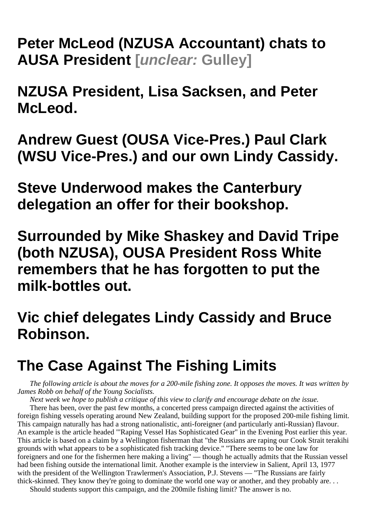**Peter McLeod (NZUSA Accountant) chats to AUSA President [unclear: Gulley]**

**NZUSA President, Lisa Sacksen, and Peter McLeod.**

**Andrew Guest (OUSA Vice-Pres.) Paul Clark (WSU Vice-Pres.) and our own Lindy Cassidy.**

**Steve Underwood makes the Canterbury delegation an offer for their bookshop.**

**Surrounded by Mike Shaskey and David Tripe (both NZUSA), OUSA President Ross White remembers that he has forgotten to put the milk-bottles out.**

# **Vic chief delegates Lindy Cassidy and Bruce Robinson.**

# **The Case Against The Fishing Limits**

*The following article is about the moves for a 200-mile fishing zone. It opposes the moves. It was written by James Robb on behalf of the Young Socialists.*

*Next week we hope to publish a critique of this view to clarify and encourage debate on the issue.* There has been, over the past few months, a concerted press campaign directed against the activities of foreign fishing vessels operating around New Zealand, building support for the proposed 200-mile fishing limit. This campaign naturally has had a strong nationalistic, anti-foreigner (and particularly anti-Russian) flavour. An example is the article headed "'Raping Vessel Has Sophisticated Gear" in the Evening Post earlier this year. This article is based on a claim by a Wellington fisherman that "the Russians are raping our Cook Strait terakihi grounds with what appears to be a sophisticated fish tracking device." "There seems to be one law for foreigners and one for the fishermen here making a living" — though he actually admits that the Russian vessel had been fishing outside the international limit. Another example is the interview in Salient, April 13, 1977 with the president of the Wellington Trawlermen's Association, P.J. Stevens — "The Russians are fairly thick-skinned. They know they're going to dominate the world one way or another, and they probably are. . .

Should students support this campaign, and the 200mile fishing limit? The answer is no.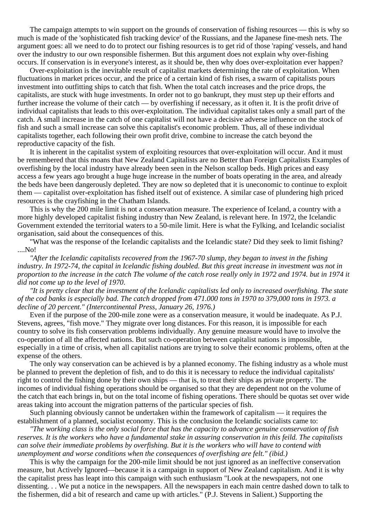The campaign attempts to win support on the grounds of conservation of fishing resources — this is why so much is made of the 'sophisticated fish tracking device' of the Russians, and the Japanese fine-mesh nets. The argument goes: all we need to do to protect our fishing resources is to get rid of those 'raping' vessels, and hand over the industry to our own responsible fishermen. But this argument does not explain why over-fishing occurs. If conservation is in everyone's interest, as it should be, then why does over-exploitation ever happen?

Over-exploitation is the inevitable result of capitalist markets determining the rate of exploitation. When fluctuations in market prices occur, and the price of a certain kind of fish rises, a swarm of capitalists pours investment into outfitting ships to catch that fish. When the total catch increases and the price drops, the capitalists, are stuck with huge investments. In order not to go bankrupt, they must step up their efforts and further increase the volume of their catch — by overfishing if necessary, as it often it. It is the profit drive of individual capitalists that leads to this over-exploitation. The individual capitalist takes only a small part of the catch. A small increase in the catch of one capitalist will not have a decisive adverse influence on the stock of fish and such a small increase can solve this capitalist's economic problem. Thus, all of these individual capitalists together, each following their own profit drive, combine to increase the catch beyond the reproductive capacity of the fish.

It is inherent in the capitalist system of exploiting resources that over-exploitation will occur. And it must be remembered that this moans that New Zealand Capitalists are no Better than Foreign Capitalists Examples of overfishing by the local industry have already been seen in the Nelson scallop beds. High prices and easy access a few years ago brought a huge huge increase in the number of boats operating in the area, and already the beds have been dangerously depleted. They are now so depleted that it is uneconomic to continue to exploit them — capitalist over-exploitation has fished itself out of existence. A similar case of plundering high priced resources is the crayfishing in the Chatham Islands.

This is why the 200 mile limit is not a conservation measure. The experience of Iceland, a country with a more highly developed capitalist fishing industry than New Zealand, is relevant here. In 1972, the Icelandic Government extended the territorial waters to a 50-mile limit. Here is what the Fylking, and Icelandic socialist organisation, said about the consequences of this.

"What was the response of the Icelandic capitalists and the Icelandic state? Did they seek to limit fishing? ....No!

*"After the Icelandic capitalists recovered from the 1967-70 slump, they began to invest in the fishing industry. In 1972-74, the capital in Icelandic fishing doubled. But this great increase in investment was not in proportion to the increase in the catch The volume of the catch rose really only in 1972 and 1974. but in 1974 it did not come up to the level of 1970*.

*"It is pretty clear that the investment of the Icelandic capitalists led only to increased overfishing. The state of the cod banks is especially bad. The catch dropped from 471.000 tons in 1970 to 379,000 tons in 1973. a decline of 20 percent." (Intercontinental Press, January 26, 1976.)*

Even if the purpose of the 200-mile zone were as a conservation measure, it would be inadequate. As P.J. Stevens, agrees, "fish move." They migrate over long distances. For this reason, it is impossible for each country to solve its fish conservation problems individually. Any genuine measure would have to involve the co-operation of all the affected nations. But such co-operation between capitalist nations is impossible, especially in a time of crisis, when all capitalist nations are trying to solve their economic problems, often at the expense of the others.

The only way conservation can be achieved is by a planned economy. The fishing industry as a whole must be planned to prevent the depletion of fish, and to do this it is necessary to reduce the individual capitalists' right to control the fishing done by their own ships — that is, to treat their ships as private property. The incomes of individual fishing operations should be organised so that they are dependent not on the volume of the catch that each brings in, but on the total income of fishing operations. There should be quotas set over wide areas taking into account the migration patterns of the particular species of fish.

Such planning obviously cannot be undertaken within the framework of capitalism — it requires the establishment of a planned, socialist economy. This is the conclusion the Icelandic socialists came to:

*"The working class is the only social force that has the capacity to advance genuine conservation of fish reserves. It is the workers who have a fundamental stake in assuring conservation in this feild. The capitalists can solve their immediate problems by overfishing. But it is the workers who will have to contend with unemployment and worse conditions when the consequences of overfishing are felt." (ibid.)*

This is why the campaign for the 200-mile limit should be not just ignored as an ineffective conservation measure, but Actively Ignored—because it is a campaign in support of New Zealand capitalism. And it is why the capitalist press has leapt into this campaign with such enthusiasm "Look at the newspapers, not one dissenting. . . We put a notice in the newspapers. All the newspapers in each main centre dashed down to talk to the fishermen, did a bit of research and came up with articles." (P.J. Stevens in Salient.) Supporting the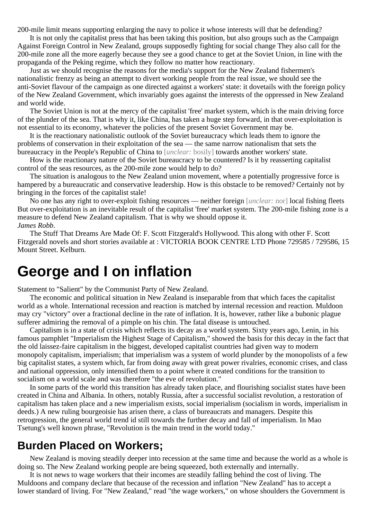200-mile limit means supporting enlarging the navy to police it whose interests will that be defending?

It is not only the capitalist press that has been taking this position, but also groups such as the Campaign Against Foreign Control in New Zealand, groups supposedly fighting for social change They also call for the 200-mile zone all the more eagerly because they see a good chance to get at the Soviet Union, in line with the propaganda of the Peking regime, which they follow no matter how reactionary.

Just as we should recognise the reasons for the media's support for the New Zealand fishermen's nationalistic frenzy as being an attempt to divert working people from the real issue, we should see the anti-Soviet flavour of the campaign as one directed against a workers' state: it dovetails with the foreign policy of the New Zealand Government, which invariably goes against the interests of the oppressed in New Zealand and world wide.

The Soviet Union is not at the mercy of the capitalist 'free' market system, which is the main driving force of the plunder of the sea. That is why it, like China, has taken a huge step forward, in that over-exploitation is not essential to its economy, whatever the policies of the present Soviet Government may be.

It is the reactionary nationalistic outlook of the Soviet bureaucracy which leads them to ignore the problems of conservation in their exploitation of the sea — the same narrow nationalism that sets the bureaucracy in the People's Republic of China to [*unclear:* bosily] towards another workers' state.

How is the reactionary nature of the Soviet bureaucracy to be countered? Is it by reasserting capitalist control of the seas resources, as the 200-mile zone would help to do?

The situation is analogous to the New Zealand union movement, where a potentially progressive force is hampered by a bureaucratic and conservative leadership. How is this obstacle to be removed? Certainly not by bringing in the forces of the capitalist stale!

No one has any right to over-exploit fishing resources — neither foreign [*unclear:* nor] local fishing fleets But over-exploitation is an inevitable result of the capitalist 'free' market system. The 200-mile fishing zone is a measure to defend New Zealand capitalism. That is why we should oppose it. *James Robb*.

The Stuff That Dreams Are Made Of: F. Scott Fitzgerald's Hollywood. This along with other F. Scott Fitzgerald novels and short stories available at : VICTORIA BOOK CENTRE LTD Phone 729585 / 729586, 15 Mount Street. Kelburn.

### **George and I on inflation**

Statement to "Salient" by the Communist Party of New Zealand.

The economic and political situation in New Zealand is inseparable from that which faces the capitalist world as a whole. International recession and reaction is matched by internal recession and reaction. Muldoon may cry "victory" over a fractional decline in the rate of inflation. It is, however, rather like a bubonic plague sufferer admiring the removal of a pimple on his chin. The fatal disease is untouched.

Capitalism is in a state of crisis which reflects its decay as a world system. Sixty years ago, Lenin, in his famous pamphlet "Imperialism the Highest Stage of Capitalism," showed the basis for this decay in the fact that the old laissez-faire capitalism in the biggest, developed capitalist countries had given way to modern monopoly capitalism, imperialism; that imperialism was a system of world plunder by the monopolists of a few big capitalist states, a system which, far from doing away with great power rivalries, economic crises, and class and national oppression, only intensified them to a point where it created conditions for the transition to socialism on a world scale and was therefore "the eve of revolution."

In some parts of the world this transition has already taken place, and flourishing socialist states have been created in China and Albania. In others, notably Russia, after a successful socialist revolution, a restoration of capitalism has taken place and a new imperialism exists, social imperialism (socialism in words, imperialism in deeds.) A new ruling bourgeoisie has arisen there, a class of bureaucrats and managers. Despite this retrogression, the general world trend id still towards the further decay and fall of imperialism. In Mao Tsetung's well known phrase, "Revolution is the main trend in the world today."

### **Burden Placed on Workers;**

New Zealand is moving steadily deeper into recession at the same time and because the world as a whole is doing so. The New Zealand working people are being squeezed, both externally and internally.

It is not news to wage workers that their incomes are steadily falling behind the cost of living. The Muldoons and company declare that because of the recession and inflation "New Zealand" has to accept a lower standard of living. For "New Zealand," read "the wage workers," on whose shoulders the Government is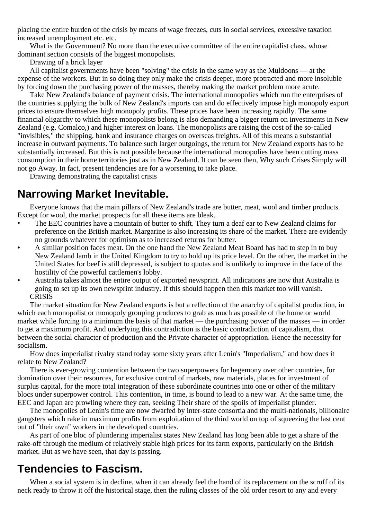placing the entire burden of the crisis by means of wage freezes, cuts in social services, excessive taxation increased unemployment etc. etc.

What is the Government? No more than the executive committee of the entire capitalist class, whose dominant section consists of the biggest monopolists.

Drawing of a brick layer

All capitalist governments have been "solving" the crisis in the same way as the Muldoons — at the expense of the workers. But in so doing they only make the crisis deeper, more protracted and more insoluble by forcing down the purchasing power of the masses, thereby making the market problem more acute.

Take New Zealand's balance of payment crisis. The international monopolies which run the enterprises of the countries supplying the bulk of New Zealand's imports can and do effectively impose high monopoly export prices to ensure themselves high monopoly profits. These prices have been increasing rapidly. The same financial oligarchy to which these monopolists belong is also demanding a bigger return on investments in New Zealand (e.g. Comalco,) and higher interest on loans. The monopolists are raising the cost of the so-called "invisibles," the shipping, bank and insurance charges on overseas freights. All of this means a substantial increase in outward payments. To balance such larger outgoings, the return for New Zealand exports has to be substantially increased. But this is not possible because the international monopolies have been cutting mass consumption in their home territories just as in New Zealand. It can be seen then, Why such Crises Simply will not go Away. In fact, present tendencies are for a worsening to take place.

Drawing demonstrating the capitalist crisis

### **Narrowing Market Inevitable.**

Everyone knows that the main pillars of New Zealand's trade are butter, meat, wool and timber products. Except for wool, the market prospects for all these items are bleak.

- The EEC countries have a mountain of butter to shift. They turn a deaf ear to New Zealand claims for preference on the British market. Margarine is also increasing its share of the market. There are evidently no grounds whatever for optimism as to increased returns for butter.
- **•** A similar position faces meat. On the one hand the New Zealand Meat Board has had to step in to buy New Zealand lamb in the United Kingdom to try to hold up its price level. On the other, the market in the United States for beef is still depressed, is subject to quotas and is unlikely to improve in the face of the hostility of the powerful cattlemen's lobby.
- **•** Australia takes almost the entire output of exported newsprint. All indications are now that Australia is going to set up its own newsprint industry. If this should happen then this market too will vanish. **CRISIS**

The market situation for New Zealand exports is but a reflection of the anarchy of capitalist production, in which each monopolist or monopoly grouping produces to grab as much as possible of the home or world market while forcing to a minimum the basis of that market — the purchasing power of the masses — in order to get a maximum profit. And underlying this contradiction is the basic contradiction of capitalism, that between the social character of production and the Private character of appropriation. Hence the necessity for socialism.

How does imperialist rivalry stand today some sixty years after Lenin's "Imperialism," and how does it relate to New Zealand?

There is ever-growing contention between the two superpowers for hegemony over other countries, for domination over their resources, for exclusive control of markets, raw materials, places for investment of surplus capital, for the more total integration of these subordinate countries into one or other of the military blocs under superpower control. This contention, in time, is bound to lead to a new war. At the same time, the EEC and Japan are prowling where they can, seeking Their share of the spoils of imperialist plunder.

The monopolies of Lenin's time are now dwarfed by inter-state consortia and the multi-nationals, billionaire gangsters which rake in maximum profits from exploitation of the third world on top of squeezing the last cent out of "their own" workers in the developed countries.

As part of one bloc of plundering imperialist states New Zealand has long been able to get a share of the rake-off through the medium of relatively stable high prices for its farm exports, particularly on the British market. But as we have seen, that day is passing.

### **Tendencies to Fascism.**

When a social system is in decline, when it can already feel the hand of its replacement on the scruff of its neck ready to throw it off the historical stage, then the ruling classes of the old order resort to any and every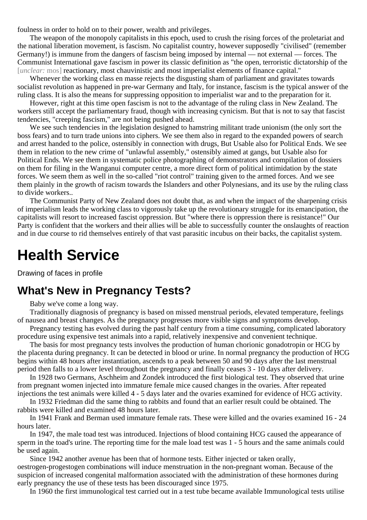foulness in order to hold on to their power, wealth and privileges.

The weapon of the monopoly capitalists in this epoch, used to crush the rising forces of the proletariat and the national liberation movement, is fascism. No capitalist country, however supposedly "civilised" (remember Germany!) is immune from the dangers of fascism being imposed by internal — not external — forces. The Communist International gave fascism in power its classic definition as "the open, terroristic dictatorship of the [*unclear:* mos] reactionary, most chauvinistic and most imperialist elements of finance capital."

Whenever the working class en masse rejects the disgusting sham of parliament and gravitates towards socialist revolution as happened in pre-war Germany and Italy, for instance, fascism is the typical answer of the ruling class. It is also the means for suppressing opposition to imperialist war and to the preparation for it.

However, right at this time open fascism is not to the advantage of the ruling class in New Zealand. The workers still accept the parliamentary fraud, though with increasing cynicism. But that is not to say that fascist tendencies, "creeping fascism," are not being pushed ahead.

We see such tendencies in the legislation designed to hamstring militant trade unionism (the only sort the boss fears) and to turn trade unions into ciphers. We see them also in regard to the expanded powers of search and arrest handed to the police, ostensibly in connection with drugs, But Usable also for Political Ends. We see them in relation to the new crime of "unlawful assembly," ostensibly aimed at gangs, but Usable also for Political Ends. We see them in systematic police photographing of demonstrators and compilation of dossiers on them for filing in the Wanganui computer centre, a more direct form of political intimidation by the state forces. We seem them as well in the so-called "riot control" training given to the armed forces. And we see them plainly in the growth of racism towards the Islanders and other Polynesians, and its use by the ruling class to divide workers..

The Communist Party of New Zealand does not doubt that, as and when the impact of the sharpening crisis of imperialism leads the working class to vigorously take up the revolutionary struggle for its emancipation, the capitalists will resort to increased fascist oppression. But "where there is oppression there is resistance!" Our Party is confident that the workers and their allies will be able to successfully counter the onslaughts of reaction and in due course to rid themselves entirely of that vast parasitic incubus on their backs, the capitalist system.

### **Health Service**

Drawing of faces in profile

### **What's New in Pregnancy Tests?**

Baby we've come a long way.

Traditionally diagnosis of pregnancy is based on missed menstrual periods, elevated temperature, feelings of nausea and breast changes. As the pregnancy progresses more visible signs and symptoms develop.

Pregnancy testing has evolved during the past half century from a time consuming, complicated laboratory procedure using expensive test animals into a rapid, relatively inexpensive and convenient technique.

The basis for most pregnancy tests involves the production of human chorionic gonadotropin or HCG by the placenta during pregnancy. It can be detected in blood or urine. In normal pregnancy the production of HCG begins within 48 hours after instantiation, ascends to a peak between 50 and 90 days after the last menstrual period then falls to a lower level throughout the pregnancy and finally ceases 3 - 10 days after delivery.

In 1928 two Germans, Aschheim and Zondek introduced the first biological test. They observed that urine from pregnant women injected into immature female mice caused changes in the ovaries. After repeated injections the test animals were killed 4 - 5 days later and the ovaries examined for evidence of HCG activity.

In 1932 Friedman did the same thing to rabbits and found that an earlier result could be obtained. The rabbits were killed and examined 48 hours later.

In 1941 Frank and Berman used immature female rats. These were killed and the ovaries examined 16 - 24 hours later.

In 1947, the male toad test was introduced. Injections of blood containing HCG caused the appearance of sperm in the toad's urine. The reporting time for the male load test was 1 - 5 hours and the same animals could be used again.

Since 1942 another avenue has been that of hormone tests. Either injected or taken orally, oestrogen-progestogen combinations will induce menstruation in the non-pregnant woman. Because of the suspicion of increased congenital malformation associated with the administration of these hormones during early pregnancy the use of these tests has been discouraged since 1975.

In 1960 the first immunological test carried out in a test tube became available Immunological tests utilise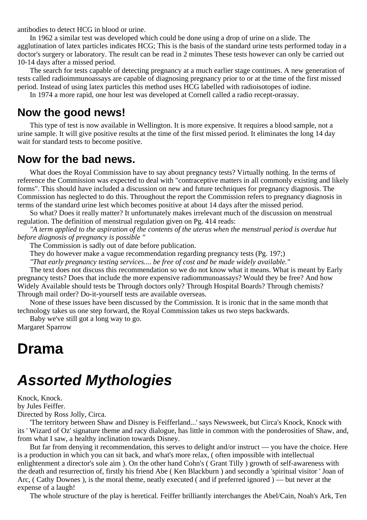antibodies to detect HCG in blood or urine.

In 1962 a similar test was developed which could be done using a drop of urine on a slide. The agglutination of latex particles indicates HCG; This is the basis of the standard urine tests performed today in a doctor's surgery or laboratory. The result can be read in 2 minutes These tests however can only be carried out 10-14 days after a missed period.

The search for tests capable of detecting pregnancy at a much earlier stage continues. A new generation of tests called radioimmunoassays are capable of diagnosing pregnancy prior to or at the time of the first missed period. Instead of using latex particles this method uses HCG labelled with radioisotopes of iodine.

In 1974 a more rapid, one hour lest was developed at Cornell called a radio recept-orassay.

### **Now the good news!**

This type of test is now available in Wellington. It is more expensive. It requires a blood sample, not a urine sample. It will give positive results at the time of the first missed period. It eliminates the long 14 day wait for standard tests to become positive.

### **Now for the bad news.**

What does the Royal Commission have to say about pregnancy tests? Virtually nothing. In the terms of reference the Commission was expected to deal with "contraceptive matters in all commonly existing and likely forms". This should have included a discussion on new and future techniques for pregnancy diagnosis. The Commission has neglected to do this. Throughout the report the Commission refers to pregnancy diagnosis in terms of the standard urine lest which becomes positive at about 14 days after the missed period.

So what? Does it really matter? It unfortunately makes irrelevant much of the discussion on menstrual regulation. The definition of menstrual regulation given on Pg. 414 reads:

*"A term applied to the aspiration of the contents of the uterus when the menstrual period is overdue hut before diagnosis of pregnancy is possible "*

The Commission is sadly out of date before publication.

They do however make a vague recommendation regarding pregnancy tests (Pg. 197;)

*"That early pregnancy testing services.... be free of cost and be made widely available."*

The text does not discuss this recommendation so we do not know what it means. What is meant by Early pregnancy tests? Does that include the more expensive radiommunoassays? Would they be free? And how Widely Available should tests be Through doctors only? Through Hospital Boards? Through chemists? Through mail order? Do-it-yourself tests are available overseas.

None of these issues have been discussed by the Commission. It is ironic that in the same month that technology takes us one step forward, the Royal Commission takes us two steps backwards.

Baby we've still got a long way to go.

Margaret Sparrow

## **Drama**

# **Assorted Mythologies**

Knock, Knock. by Jules Feiffer. Directed by Ross Jolly, Circa.

'The territory between Shaw and Disney is Feifferland...' says Newsweek, but Circa's Knock, Knock with its ' Wizard of Oz' signature theme and racy dialogue, has little in common with the ponderosities of Shaw, and, from what I saw, a healthy inclination towards Disney.

But far from denying it recommendation, this serves to delight and/or instruct — you have the choice. Here is a production in which you can sit back, and what's more relax, ( often impossible with intellectual enlightenment a director's sole aim ). On the other hand Cohn's ( Grant Tilly ) growth of self-awareness with the death and resurrection of, firstly his friend Abe ( Ken Blackburn ) and secondly a 'spiritual visitor ' Joan of Arc, ( Cathy Downes ), is the moral theme, neatly executed ( and if preferred ignored ) — but never at the expense of a laugh!

The whole structure of the play is heretical. Feiffer brilliantly interchanges the Abel/Cain, Noah's Ark, Ten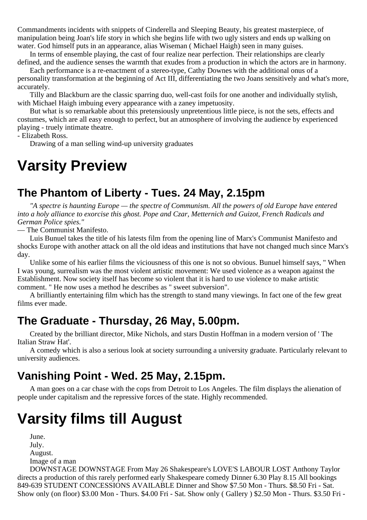Commandments incidents with snippets of Cinderella and Sleeping Beauty, his greatest masterpiece, of manipulation being Joan's life story in which she begins life with two ugly sisters and ends up walking on water. God himself puts in an appearance, alias Wiseman ( Michael Haigh) seen in many guises.

In terms of ensemble playing, the cast of four realize near perfection. Their relationships are clearly defined, and the audience senses the warmth that exudes from a production in which the actors are in harmony.

Each performance is a re-enactment of a stereo-type, Cathy Downes with the additional onus of a personality transformation at the beginning of Act III, differentiating the two Joans sensitively and what's more, accurately.

Tilly and Blackburn are the classic sparring duo, well-cast foils for one another and individually stylish, with Michael Haigh imbuing every appearance with a zaney impetuosity.

But what is so remarkable about this pretensiously unpretentious little piece, is not the sets, effects and costumes, which are all easy enough to perfect, but an atmosphere of involving the audience by experienced playing - truely intimate theatre.

- Elizabeth Ross.

Drawing of a man selling wind-up university graduates

# **Varsity Preview**

### **The Phantom of Liberty - Tues. 24 May, 2.15pm**

*"A spectre is haunting Europe — the spectre of Communism. All the powers of old Europe have entered into a holy alliance to exorcise this ghost. Pope and Czar, Metternich and Guizot, French Radicals and German Police spies."*

— The Communist Manifesto.

Luis Bunuel takes the title of his latests film from the opening line of Marx's Communist Manifesto and shocks Europe with another attack on all the old ideas and institutions that have not changed much since Marx's day.

Unlike some of his earlier films the viciousness of this one is not so obvious. Bunuel himself says, " When I was young, surrealism was the most violent artistic movement: We used violence as a weapon against the Establishment. Now society itself has become so violent that it is hard to use violence to make artistic comment. " He now uses a method he describes as " sweet subversion".

A brilliantly entertaining film which has the strength to stand many viewings. In fact one of the few great films ever made.

### **The Graduate - Thursday, 26 May, 5.00pm.**

Created by the brilliant director, Mike Nichols, and stars Dustin Hoffman in a modern version of ' The Italian Straw Hat'.

A comedy which is also a serious look at society surrounding a university graduate. Particularly relevant to university audiences.

### **Vanishing Point - Wed. 25 May, 2.15pm.**

A man goes on a car chase with the cops from Detroit to Los Angeles. The film displays the alienation of people under capitalism and the repressive forces of the state. Highly recommended.

# **Varsity films till August**

June. July. August. Image of a man

DOWNSTAGE DOWNSTAGE From May 26 Shakespeare's LOVE'S LABOUR LOST Anthony Taylor directs a production of this rarely performed early Shakespeare comedy Dinner 6.30 Play 8.15 All bookings 849-639 STUDENT CONCESSIONS AVAILABLE Dinner and Show \$7.50 Mon - Thurs. \$8.50 Fri - Sat. Show only (on floor) \$3.00 Mon - Thurs. \$4.00 Fri - Sat. Show only ( Gallery ) \$2.50 Mon - Thurs. \$3.50 Fri -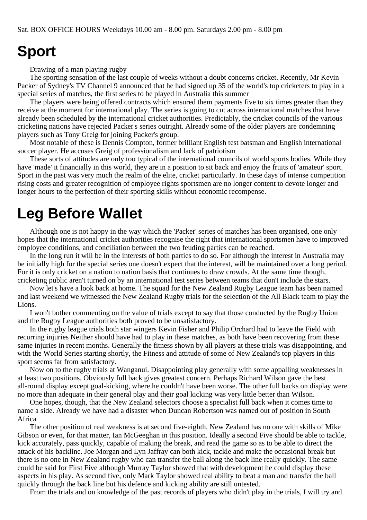## **Sport**

Drawing of a man playing rugby

The sporting sensation of the last couple of weeks without a doubt concerns cricket. Recently, Mr Kevin Packer of Sydney's TV Channel 9 announced that he had signed up 35 of the world's top cricketers to play in a special series of matches, the first series to be played in Australia this summer

The players were being offered contracts which ensured them payments five to six times greater than they receive at the moment for international play. The series is going to cut across international matches that have already been scheduled by the international cricket authorities. Predictably, the cricket councils of the various cricketing nations have rejected Packer's series outright. Already some of the older players are condemning players such as Tony Greig for joining Packer's group.

Most notable of these is Dennis Compton, former brilliant English test batsman and English international soccer player. He accuses Greig of professionalism and lack of patriotism

These sorts of attitudes are only too typical of the international councils of world sports bodies. While they have 'made' it financially in this world, they are in a position to sit back and enjoy the fruits of 'amateur' sport. Sport in the past was very much the realm of the elite, cricket particularly. In these days of intense competition rising costs and greater recognition of employee rights sportsmen are no longer content to devote longer and longer hours to the perfection of their sporting skills without economic recompense.

# **Leg Before Wallet**

Although one is not happy in the way which the 'Packer' series of matches has been organised, one only hopes that the international cricket authorities recognise the right that international sportsmen have to improved employee conditions, and conciliation between the two feuding parties can be reached.

In the long run it will be in the interests of both parties to do so. For although the interest in Australia may be initially high for the special series one doesn't expect that the interest, will be maintained over a long period. For it is only cricket on a nation to nation basis that continues to draw crowds. At the same time though, cricketing public aren't turned on by an international test series between teams that don't include the stars.

Now let's have a look back at home. The squad for the New Zealand Rugby League team has been named and last weekend we witnessed the New Zealand Rugby trials for the selection of the All Black team to play the Lions.

I won't bother commenting on the value of trials except to say that those conducted by the Rugby Union and the Rugby League authorities both proved to be unsatisfactory.

In the rugby league trials both star wingers Kevin Fisher and Philip Orchard had to leave the Field with recurring injuries Neither should have had to play in these matches, as both have been recovering from these same injuries in recent months. Generally the fitness shown by all players at these trials was disappointing, and with the World Series starting shortly, the Fitness and attitude of some of New Zealand's top players in this sport seems far from satisfactory.

Now on to the rugby trials at Wanganui. Disappointing play generally with some appalling weaknesses in at least two positions. Obviously full back gives greatest concern. Perhaps Richard Wilson gave the best all-round display except goal-kicking, where he couldn't have been worse. The other full backs on display were no more than adequate in their general play and their goal kicking was very little better than Wilson.

One hopes, though, that the New Zealand selectors choose a specialist full back when it comes time to name a side. Already we have had a disaster when Duncan Robertson was named out of position in South Africa

The other position of real weakness is at second five-eighth. New Zealand has no one with skills of Mike Gibson or even, for that matter, Ian McGeeghan in this position. Ideally a second Five should be able to tackle, kick accurately, pass quickly, capable of making the break, and read the game so as to be able to direct the attack of his backline. Joe Morgan and Lyn Jaffray can both kick, tackle and make the occasional break but there is no one in New Zealand rugby who can transfer the ball along the back line really quickly. The same could be said for First Five although Murray Taylor showed that with development he could display these aspects in his play. As second five, only Mark Taylor showed real ability to beat a man and transfer the ball quickly through the back line but his defence and kicking ability are still untested.

From the trials and on knowledge of the past records of players who didn't play in the trials, I will try and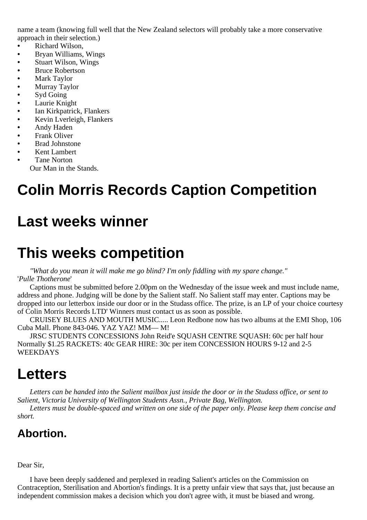name a team (knowing full well that the New Zealand selectors will probably take a more conservative approach in their selection.)

- **•** Richard Wilson,
- **•** Bryan Williams, Wings
- **•** Stuart Wilson, Wings
- **•** Bruce Robertson
- **•** Mark Taylor
- **•** Murray Taylor
- **•** Syd Going
- **•** Laurie Knight
- **•** Ian Kirkpatrick, Flankers
- **•** Kevin Lverleigh, Flankers
- **•** Andy Haden
- **•** Frank Oliver
- **•** Brad Johnstone
- **•** Kent Lambert
- **•** Tane Norton
	- Our Man in the Stands.

# **Colin Morris Records Caption Competition**

## **Last weeks winner**

# **This weeks competition**

*"What do you mean it will make me go blind? I'm only fiddling with my spare change."* '*Pulle Thotherone*'

Captions must be submitted before 2.00pm on the Wednesday of the issue week and must include name, address and phone. Judging will be done by the Salient staff. No Salient staff may enter. Captions may be dropped into our letterbox inside our door or in the Studass office. The prize, is an LP of your choice courtesy of Colin Morris Records LTD' Winners must contact us as soon as possible.

CRUISEY BLUES AND MOUTH MUSIC..... Leon Redbone now has two albums at the EMI Shop, 106 Cuba Mall. Phone 843-046. YAZ YAZ! MM— M!

JRSC STUDENTS CONCESSIONS John Reid'e SQUASH CENTRE SQUASH: 60c per half hour Normally \$1.25 RACKETS: 40c GEAR HIRE: 30c per item CONCESSION HOURS 9-12 and 2-5 WEEKDAYS

## **Letters**

*Letters can be handed into the Salient mailbox just inside the door or in the Studass office, or sent to Salient, Victoria University of Wellington Students Assn., Private Bag, Wellington.*

*Letters must be double-spaced and written on one side of the paper only. Please keep them concise and short.*

### **Abortion.**

#### Dear Sir,

I have been deeply saddened and perplexed in reading Salient's articles on the Commission on Contraception, Sterilisation and Abortion's findings. It is a pretty unfair view that says that, just because an independent commission makes a decision which you don't agree with, it must be biased and wrong.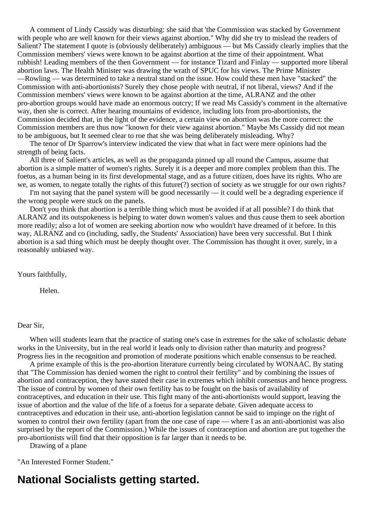A comment of Lindy Cassidy was disturbing: she said that 'the Commission was stacked by Government with people who are well known for their views against abortion." Why did she try to mislead the readers of Salient? The statement I quote is (obviously deliberately) ambiguous — but Ms Cassidy clearly implies that the Commission members' views were known to be against abortion at the time of their appointment. What rubbish! Leading members of the then Government — for instance Tizard and Finlay — supported more liberal abortion laws. The Health Minister was drawing the wrath of SPUC for his views. The Prime Minister —Rowling — was determined to take a neutral stand on the issue. How could these men have "stacked" the Commission with anti-abortionists? Surely they chose people with neutral, if not liberal, views? And if the Commission members' views were known to be against abortion at the time, ALRANZ and the other pro-abortion groups would have made an enormous outcry; If we read Ms Cassidy's comment in the alternative way, then she is correct. After hearing mountains of evidence, including lots from pro-abortionists, the Commission decided that, in the light of the evidence, a certain view on abortion was the more correct: the Commission members are thus now "known for their view against abortion." Maybe Ms Cassidy did not mean to be ambiguous, but It seemed clear to roe that she was being deliberately misleading. Why?

The tenor of Dr Sparrow's interview indicated the view that what in fact were mere opinions had the strength of being facts.

All three of Salient's articles, as well as the propaganda pinned up all round the Campus, assume that abortion is a simple matter of women's rights. Surely it is a deeper and more complex problem than this. The foetus, as a human being in its first developmental stage, and as a future citizen, does have its rights. Who are we, as women, to negate totally the rights of this future(?) section of society as we struggle for our own rights?

I'm not saying that the panel system will be good necessarily — it could well be a degrading experience if the wrong people were stuck on the panels.

Don't you think that abortion is a terrible thing which must be avoided if at all possible? I do think that ALRANZ and its outspokeness is helping to water down women's values and thus cause them to seek abortion more readily; also a lot of women are seeking abortion now who wouldn't have dreamed of it before. In this way, ALRANZ and co (including, sadly, the Students' Association) have been very successful. But I think abortion is a sad thing which must be deeply thought over. The Commission has thought it over, surely, in a reasonably unbiased way.

Yours faithfully,

Helen.

Dear Sir,

When will students learn that the practice of stating one's case in extremes for the sake of scholastic debate works in the University, but in the real world it leads only to division rather than maturity and progress? Progress lies in the recognition and promotion of moderate positions which enable consensus to be reached.

A prime example of this is the pro-abortion literature currently being circulated by WONAAC. By stating that "The Commission has denied women the right to control their fertility" and by combining the issues of abortion and contraception, they have stated their case in extremes which inhibit consensus and hence progress. The issue of control by women of their own fertility has to be fought on the basis of availability of contraceptives, and education in their use. This fight many of the anti-abortionists would support, leaving the issue of abortion and the value of the life of a foetus for a separate debate. Given adequate access to contraceptives and education in their use, anti-abortion legislation cannot be said to impinge on the right of women to control their own fertility (apart from the one case of rape — where I as an anti-abortionist was also surprised by the report of the Commission.) While the issues of contraception and abortion are put together the pro-abortionists will find that their opposition is far larger than it needs to be.

Drawing of a plane

"An Interested Former Student."

### **National Socialists getting started.**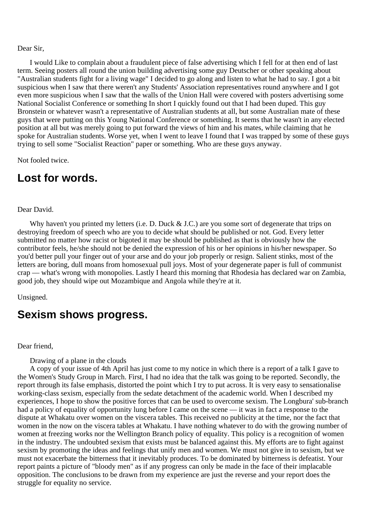#### Dear Sir,

I would Like to complain about a fraudulent piece of false advertising which I fell for at then end of last term. Seeing posters all round the union building advertising some guy Deutscher or other speaking about "Australian students fight for a living wage" I decided to go along and listen to what he had to say. I got a bit suspicious when I saw that there weren't any Students' Association representatives round anywhere and I got even more suspicious when I saw that the walls of the Union Hall were covered with posters advertising some National Socialist Conference or something In short I quickly found out that I had been duped. This guy Bronstein or whatever wasn't a representative of Australian students at all, but some Australian mate of these guys that were putting on this Young National Conference or something. It seems that he wasn't in any elected position at all but was merely going to put forward the views of him and his mates, while claiming that he spoke for Australian students. Worse yet, when I went to leave I found that I was trapped by some of these guys trying to sell some "Socialist Reaction" paper or something. Who are these guys anyway.

Not fooled twice.

### **Lost for words.**

#### Dear David.

Why haven't you printed my letters (i.e. D. Duck & J.C.) are you some sort of degenerate that trips on destroying freedom of speech who are you to decide what should be published or not. God. Every letter submitted no matter how racist or bigoted it may be should be published as that is obviously how the contributor feels, he/she should not be denied the expression of his or her opinions in his/her newspaper. So you'd better pull your finger out of your arse and do your job properly or resign. Salient stinks, most of the letters are boring, dull moans from homosexual pull joys. Most of your degenerate paper is full of communist crap — what's wrong with monopolies. Lastly I heard this morning that Rhodesia has declared war on Zambia, good job, they should wipe out Mozambique and Angola while they're at it.

Unsigned.

### **Sexism shows progress.**

#### Dear friend,

Drawing of a plane in the clouds

A copy of your issue of 4th April has just come to my notice in which there is a report of a talk I gave to the Women's Study Group in March. First, I had no idea that the talk was going to be reported. Secondly, the report through its false emphasis, distorted the point which I try to put across. It is very easy to sensationalise working-class sexism, especially from the sedate detachment of the academic world. When I described my experiences, I hope to show the positive forces that can be used to overcome sexism. The Longbura' sub-branch had a policy of equality of opportunity lung before I came on the scene — it was in fact a response to the dispute at Whakatu over women on the viscera tables. This received no publicity at the time, nor the fact that women in the now on the viscera tables at Whakatu. I have nothing whatever to do with the growing number of women at freezing works nor the Wellington Branch policy of equality. This policy is a recognition of women in the industry. The undoubted sexism that exists must be balanced against this. My efforts are to fight against sexism by promoting the ideas and feelings that unify men and women. We must not give in to sexism, but we must not exacerbate the bitterness that it inevitably produces. To be dominated by bitterness is defeatist. Your report paints a picture of "bloody men" as if any progress can only be made in the face of their implacable opposition. The conclusions to be drawn from my experience are just the reverse and your report does the struggle for equality no service.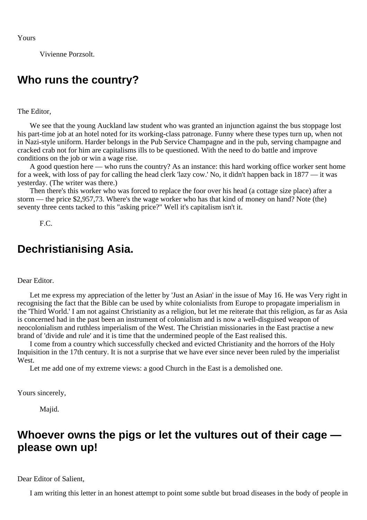Vivienne Porzsolt.

### **Who runs the country?**

The Editor,

We see that the young Auckland law student who was granted an injunction against the bus stoppage lost his part-time job at an hotel noted for its working-class patronage. Funny where these types turn up, when not in Nazi-style uniform. Harder belongs in the Pub Service Champagne and in the pub, serving champagne and cracked crab not for him are capitalisms ills to be questioned. With the need to do battle and improve conditions on the job or win a wage rise.

A good question here — who runs the country? As an instance: this hard working office worker sent home for a week, with loss of pay for calling the head clerk 'lazy cow.' No, it didn't happen back in 1877 — it was yesterday. (The writer was there.)

Then there's this worker who was forced to replace the foor over his head (a cottage size place) after a storm — the price \$2,957,73. Where's the wage worker who has that kind of money on hand? Note (the) seventy three cents tacked to this "asking price?" Well it's capitalism isn't it.

F.C.

### **Dechristianising Asia.**

#### Dear Editor.

Let me express my appreciation of the letter by 'Just an Asian' in the issue of May 16. He was Very right in recognising the fact that the Bible can be used by white colonialists from Europe to propagate imperialism in the 'Third World.' I am not against Christianity as a religion, but let me reiterate that this religion, as far as Asia is concerned had in the past been an instrument of colonialism and is now a well-disguised weapon of neocolonialism and ruthless imperialism of the West. The Christian missionaries in the East practise a new brand of 'divide and rule' and it is time that the undermined people of the East realised this.

I come from a country which successfully checked and evicted Christianity and the horrors of the Holy Inquisition in the 17th century. It is not a surprise that we have ever since never been ruled by the imperialist West.

Let me add one of my extreme views: a good Church in the East is a demolished one.

Yours sincerely,

Majid.

### **Whoever owns the pigs or let the vultures out of their cage please own up!**

#### Dear Editor of Salient,

I am writing this letter in an honest attempt to point some subtle but broad diseases in the body of people in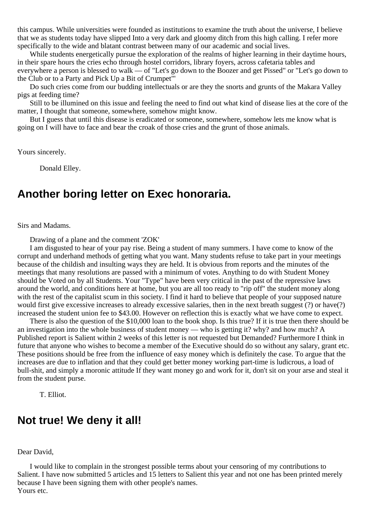this campus. While universities were founded as institutions to examine the truth about the universe, I believe that we as students today have slipped Into a very dark and gloomy ditch from this high calling. I refer more specifically to the wide and blatant contrast between many of our academic and social lives.

While students energetically pursue the exploration of the realms of higher learning in their daytime hours, in their spare hours the cries echo through hostel corridors, library foyers, across cafetaria tables and everywhere a person is blessed to walk — of "Let's go down to the Boozer and get Pissed" or "Let's go down to the Club or to a Party and Pick Up a Bit of Crumpet"'

Do such cries come from our budding intellectuals or are they the snorts and grunts of the Makara Valley pigs at feeding time?

Still to be illumined on this issue and feeling the need to find out what kind of disease lies at the core of the matter, I thought that someone, somewhere, somehow might know.

But I guess that until this disease is eradicated or someone, somewhere, somehow lets me know what is going on I will have to face and bear the croak of those cries and the grunt of those animals.

Yours sincerely.

Donald Elley.

### **Another boring letter on Exec honoraria.**

Sirs and Madams.

Drawing of a plane and the comment 'ZOK'

I am disgusted to hear of your pay rise. Being a student of many summers. I have come to know of the corrupt and underhand methods of getting what you want. Many students refuse to take part in your meetings because of the childish and insulting ways they are held. It is obvious from reports and the minutes of the meetings that many resolutions are passed with a minimum of votes. Anything to do with Student Money should be Voted on by all Students. Your "Type" have been very critical in the past of the repressive laws around the world, and conditions here at home, but you are all too ready to "rip off" the student money along with the rest of the capitalist scum in this society. I find it hard to believe that people of your supposed nature would first give excessive increases to already excessive salaries, then in the next breath suggest (?) or have(?) increased the student union fee to \$43.00. However on reflection this is exactly what we have come to expect.

There is also the question of the \$10,000 loan to the book shop. Is this true? If it is true then there should be an investigation into the whole business of student money — who is getting it? why? and how much? A Published report is Salient within 2 weeks of this letter is not requested but Demanded? Furthermore I think in future that anyone who wishes to become a member of the Executive should do so without any salary, grant etc. These positions should be free from the influence of easy money which is definitely the case. To argue that the increases are due to inflation and that they could get better money working part-time is ludicrous, a load of bull-shit, and simply a moronic attitude If they want money go and work for it, don't sit on your arse and steal it from the student purse.

T. Elliot.

### **Not true! We deny it all!**

Dear David,

I would like to complain in the strongest possible terms about your censoring of my contributions to Salient. I have now submitted 5 articles and 15 letters to Salient this year and not one has been printed merely because I have been signing them with other people's names. Yours etc.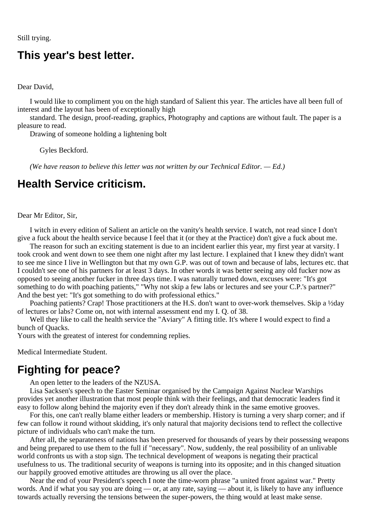Still trying.

### **This year's best letter.**

Dear David,

I would like to compliment you on the high standard of Salient this year. The articles have all been full of interest and the layout has been of exceptionally high

standard. The design, proof-reading, graphics, Photography and captions are without fault. The paper is a pleasure to read.

Drawing of someone holding a lightening bolt

Gyles Beckford.

*(We have reason to believe this letter was not written by our Technical Editor. — Ed.)*

#### **Health Service criticism.**

Dear Mr Editor, Sir,

I witch in every edition of Salient an article on the vanity's health service. I watch, not read since I don't give a fuck about the health service because I feel that it (or they at the Practice) don't give a fuck about me.

The reason for such an exciting statement is due to an incident earlier this year, my first year at varsity. I took crook and went down to see them one night after my last lecture. I explained that I knew they didn't want to see me since I live in Wellington but that my own G.P. was out of town and because of labs, lectures etc. that I couldn't see one of his partners for at least 3 days. In other words it was better seeing any old fucker now as opposed to seeing another fucker in three days time. I was naturally turned down, excuses were: "It's got something to do with poaching patients," "Why not skip a few labs or lectures and see your C.P.'s partner?" And the best yet: "It's got something to do with professional ethics."

Poaching patients? Crap! Those practitioners at the H.S. don't want to over-work themselves. Skip a ½day of lectures or labs? Come on, not with internal assessment end my I. Q. of 38.

Well they like to call the health service the "Aviary" A fitting title. It's where I would expect to find a bunch of Quacks.

Yours with the greatest of interest for condemning replies.

Medical Intermediate Student.

### **Fighting for peace?**

An open letter to the leaders of the NZUSA.

Lisa Sacksen's speech to the Easter Seminar organised by the Campaign Against Nuclear Warships provides yet another illustration that most people think with their feelings, and that democratic leaders find it easy to follow along behind the majority even if they don't already think in the same emotive grooves.

For this, one can't really blame either leaders or membership. History is turning a very sharp corner; and if few can follow it round without skidding, it's only natural that majority decisions tend to reflect the collective picture of individuals who can't make the turn.

After all, the separateness of nations has been preserved for thousands of years by their possessing weapons and being prepared to use them to the full if "necessary". Now, suddenly, the real possibility of an unlivable world confronts us with a stop sign. The technical development of weapons is negating their practical usefulness to us. The traditional security of weapons is turning into its opposite; and in this changed situation our happily grooved emotive attitudes are throwing us all over the place.

Near the end of your President's speech I note the time-worn phrase "a united front against war." Pretty words. And if what you say you are doing — or, at any rate, saying — about it, is likely to have any influence towards actually reversing the tensions between the super-powers, the thing would at least make sense.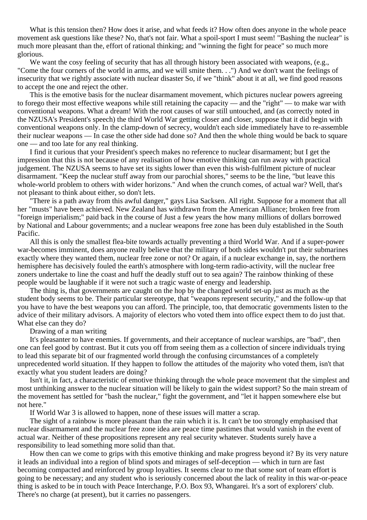What is this tension then? How does it arise, and what feeds it? How often does anyone in the whole peace movement ask questions like these? No, that's not fair. What a spoil-sport I must seem! "Bashing the nuclear" is much more pleasant than the, effort of rational thinking; and "winning the fight for peace" so much more glorious.

We want the cosy feeling of security that has all through history been associated with weapons, (e.g., "Come the four corners of the world in arms, and we will smite them. . .") And we don't want the feelings of insecurity that we rightly associate with nuclear disaster So, if we "think" about it at all, we find good reasons to accept the one and reject the other.

This is the emotive basis for the nuclear disarmament movement, which pictures nuclear powers agreeing to forego their most effective weapons while still retaining the capacity — and the "right" — to make war with conventional weapons. What a dream! With the root causes of war still untouched, and (as correctly noted in the NZUSA's President's speech) the third World War getting closer and closer, suppose that it did begin with conventional weapons only. In the clamp-down of secrecy, wouldn't each side immediately have to re-assemble their nuclear weapons — In case the other side had done so? And then the whole thing would be back to square one — and too late for any real thinking.

I find it curious that your President's speech makes no reference to nuclear disarmament; but I get the impression that this is not because of any realisation of how emotive thinking can run away with practical judgement. The NZUSA seems to have set its sights lower than even this wish-fulfilment picture of nuclear disarmament. "Keep the nuclear stuff away from our parochial shores," seems to be the line, "but leave this whole-world problem to others with wider horizons." And when the crunch comes, of actual war? Well, that's not pleasant to think about either, so don't lets.

"There is a path away from this awful danger," gays Lisa Sacksen. All right. Suppose for a moment that all her "musts" have been achieved. New Zealand has withdrawn from the American Alliance; broken free from "foreign imperialism;" paid back in the course of Just a few years the how many millions of dollars borrowed by National and Labour governments; and a nuclear weapons free zone has been duly established in the South Pacific.

All this is only the smallest flea-bite towards actually preventing a third World War. And if a super-power war-becomes imminent, does anyone really believe that the military of both sides wouldn't put their submarines exactly where they wanted them, nuclear free zone or not? Or again, if a nuclear exchange in, say, the northern hemisphere has decisively fouled the earth's atmosphere with long-term radio-activity, will the nuclear free zoners undertake to line the coast and huff the deadly stuff out to sea again? The rainbow thinking of these people would be laughable if it were not such a tragic waste of energy and leadership.

The thing is, that governments are caught on the hop by the changed world set-up just as much as the student body seems to be. Their particular stereotype, that "weapons represent security," and the follow-up that you have to have the best weapons you can afford. The principle, too, that democratic governments listen to the advice of their military advisors. A majority of electors who voted them into office expect them to do just that. What else can they do?

#### Drawing of a man writing

It's pleasanter to have enemies. If governments, and their acceptance of nuclear warships, are "bad", then one can feel good by contrast. But it cuts you off from seeing them as a collection of sincere individuals trying to lead this separate bit of our fragmented world through the confusing circumstances of a completely unprecedented world situation. If they happen to follow the attitudes of the majority who voted them, isn't that exactly what you student leaders are doing?

Isn't it, in fact, a characteristic of emotive thinking through the whole peace movement that the simplest and most unthinking answer to the nuclear situation will be likely to gain the widest support? So the main stream of the movement has settled for "bash the nuclear," fight the government, and "let it happen somewhere else but not here."

If World War 3 is allowed to happen, none of these issues will matter a scrap.

The sight of a rainbow is more pleasant than the rain which it is. It can't be too strongly emphasised that nuclear disarmament and the nuclear free zone idea are peace time pastimes that would vanish in the event of actual war. Neither of these propositions represent any real security whatever. Students surely have a responsibility to lead something more solid than that.

How then can we come to grips with this emotive thinking and make progress beyond it? By its very nature it leads an individual into a region of blind spots and mirages of self-deception — which in turn are fast becoming compacted and reinforced by group loyalties. It seems clear to me that some sort of team effort is going to be necessary; and any student who is seriously concerned about the lack of reality in this war-or-peace thing is asked to be in touch with Peace Interchange, P.O. Box 93, Whangarei. It's a sort of explorers' club. There's no charge (at present), but it carries no passengers.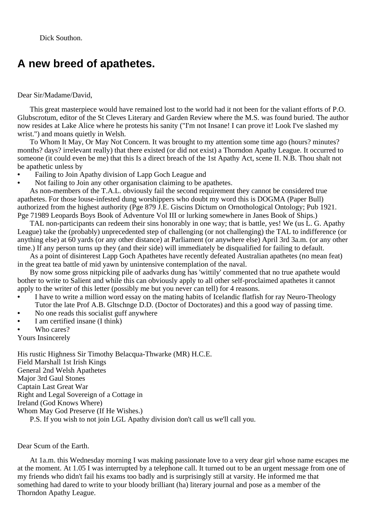Dick Southon.

### **A new breed of apathetes.**

#### Dear Sir/Madame/David,

This great masterpiece would have remained lost to the world had it not been for the valiant efforts of P.O. Glubscrotum, editor of the St Cleves Literary and Garden Review where the M.S. was found buried. The author now resides at Lake Alice where he protests his sanity ("I'm not Insane! I can prove it! Look I've slashed my wrist.") and moans quietly in Welsh.

To Whom It May, Or May Not Concern. It was brought to my attention some time ago (hours? minutes? months? days? irrelevant really) that there existed (or did not exist) a Thorndon Apathy League. It occurred to someone (it could even be me) that this Is a direct breach of the 1st Apathy Act, scene II. N.B. Thou shalt not be apathetic unless by

- **•** Failing to Join Apathy division of Lapp Goch League and
- Not failing to Join any other organisation claiming to be apathetes.

As non-members of the T.A.L. obviously fail the second requirement they cannot be considered true apathetes. For those louse-infested dung worshippers who doubt my word this is DOGMA (Paper Bull) authorized from the highest authority (Pge 879 J.E. Giscins Dictum on Ornothological Ontology; Pub 1921. Pge 71989 Leopards Boys Book of Adventure Vol III or lurking somewhere in Janes Book of Ships.)

TAL non-participants can redeem their sins honorably in one way; that is battle, yes! We (us L. G. Apathy League) take the (probably) unprecedented step of challenging (or not challenging) the TAL to indifference (or anything else) at 60 yards (or any other distance) at Parliament (or anywhere else) April 3rd 3a.m. (or any other time.) If any person turns up they (and their side) will immediately be disqualified for failing to default.

As a point of disinterest Lapp Goch Apathetes have recently defeated Australian apathetes (no mean feat) in the great tea battle of mid yawn by unintensive contemplation of the naval.

By now some gross nitpicking pile of aadvarks dung has 'wittily' commented that no true apathete would bother to write to Salient and while this can obviously apply to all other self-proclaimed apathetes it cannot apply to the writer of this letter (possibly me but you never can tell) for 4 reasons.

- **•** I have to write a million word essay on the mating habits of Icelandic flatfish for ray Neuro-Theology Tutor the late Prof A.B. Gltschnge D.D. (Doctor of Doctorates) and this a good way of passing time.
- No one reads this socialist guff anywhere
- **•** I am certified insane (I think)
- **•** Who cares?

Yours Insincerely

His rustic Highness Sir Timothy Belacqua-Thwarke (MR) H.C.E. Field Marshall 1st Irish Kings General 2nd Welsh Apathetes Major 3rd Gaul Stones Captain Last Great War Right and Legal Sovereign of a Cottage in Ireland (God Knows Where) Whom May God Preserve (If He Wishes.)

P.S. If you wish to not join LGL Apathy division don't call us we'll call you.

Dear Scum of the Earth.

At 1a.m. this Wednesday morning I was making passionate love to a very dear girl whose name escapes me at the moment. At 1.05 I was interrupted by a telephone call. It turned out to be an urgent message from one of my friends who didn't fail his exams too badly and is surprisingly still at varsity. He informed me that something had dared to write to your bloody brilliant (ha) literary journal and pose as a member of the Thorndon Apathy League.